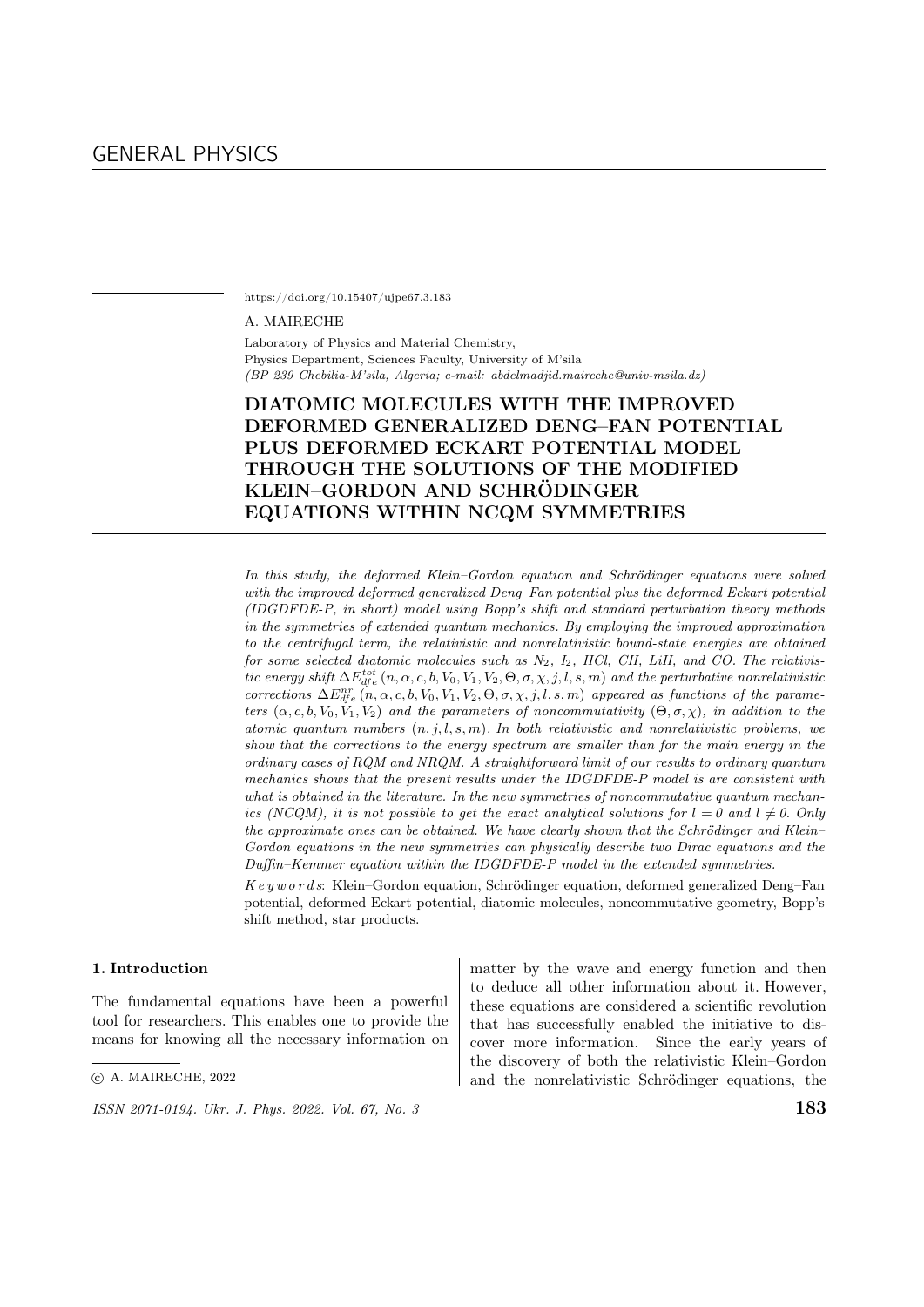https://doi.org/10.15407/ujpe67.3.183

#### A. MAIRECHE

Laboratory of Physics and Material Chemistry, Physics Department, Sciences Faculty, University of M'sila (BP 239 Chebilia-M'sila, Algeria; e-mail: abdelmadjid.maireche@univ-msila.dz)

# DIATOMIC MOLECULES WITH THE IMPROVED DEFORMED GENERALIZED DENG–FAN POTENTIAL PLUS DEFORMED ECKART POTENTIAL MODEL THROUGH THE SOLUTIONS OF THE MODIFIED KLEIN–GORDON AND SCHRÖDINGER EQUATIONS WITHIN NCQM SYMMETRIES

In this study, the deformed Klein–Gordon equation and Schrödinger equations were solved with the improved deformed generalized Deng–Fan potential plus the deformed Eckart potential (IDGDFDE-P, in short) model using Bopp's shift and standard perturbation theory methods in the symmetries of extended quantum mechanics. By employing the improved approximation to the centrifugal term, the relativistic and nonrelativistic bound-state energies are obtained for some selected diatomic molecules such as  $N_2$ ,  $I_2$ , HCl, CH, LiH, and CO. The relativistic energy shift  $\Delta E_{dfe}^{tot}$   $(n, \alpha, c, b, V_0, V_1, V_2, \Theta, \sigma, \chi, j, l, s, m)$  and the perturbative nonrelativistic corrections  $\Delta E_{dfe}^{nr}(n, \alpha, c, b, V_0, V_1, V_2, \Theta, \sigma, \chi, j, l, s, m)$  appeared as functions of the parameters  $(\alpha, c, b, V_0, V_1, V_2)$  and the parameters of noncommutativity  $(\Theta, \sigma, \chi)$ , in addition to the atomic quantum numbers  $(n, j, l, s, m)$ . In both relativistic and nonrelativistic problems, we show that the corrections to the energy spectrum are smaller than for the main energy in the ordinary cases of RQM and NRQM. A straightforward limit of our results to ordinary quantum mechanics shows that the present results under the IDGDFDE-P model is are consistent with what is obtained in the literature. In the new symmetries of noncommutative quantum mechanics (NCQM), it is not possible to get the exact analytical solutions for  $l = 0$  and  $l \neq 0$ . Only the approximate ones can be obtained. We have clearly shown that the Schrödinger and Klein– Gordon equations in the new symmetries can physically describe two Dirac equations and the Duffin–Kemmer equation within the IDGDFDE-P model in the extended symmetries.

 $Key words: Klein-Gordon equation, Schrödinger equation, deformed generalized Deng-Fan$ potential, deformed Eckart potential, diatomic molecules, noncommutative geometry, Bopp's shift method, star products.

#### 1. Introduction

The fundamental equations have been a powerful tool for researchers. This enables one to provide the means for knowing all the necessary information on matter by the wave and energy function and then to deduce all other information about it. However, these equations are considered a scientific revolution that has successfully enabled the initiative to discover more information. Since the early years of the discovery of both the relativistic Klein–Gordon and the nonrelativistic Schrödinger equations, the

<sup>○</sup>c A. MAIRECHE, 2022

 $\frac{155N}{2071-0194}$ . Ukr. J. Phys. 2022. Vol. 67, No. 3 183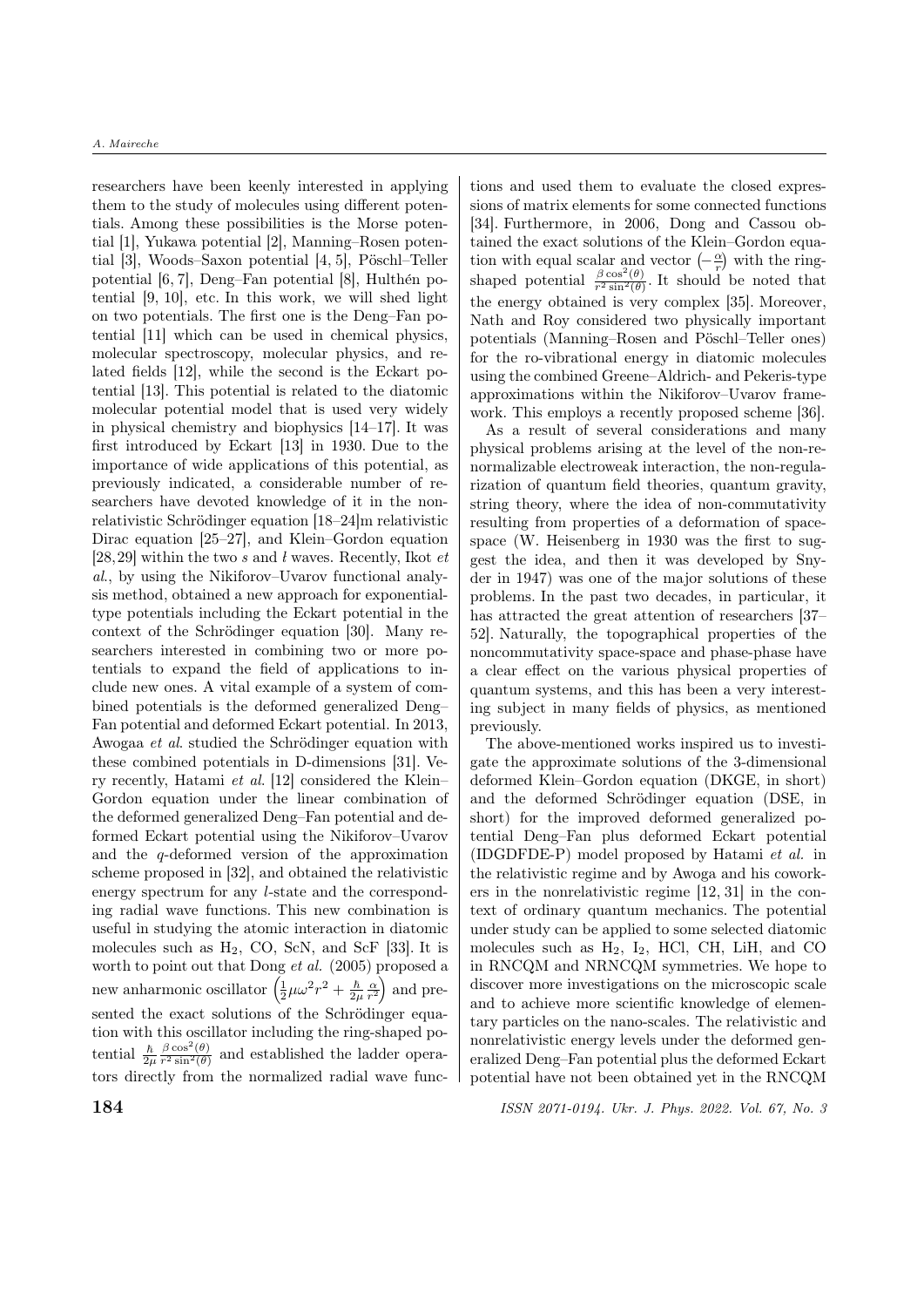researchers have been keenly interested in applying them to the study of molecules using different potentials. Among these possibilities is the Morse potential [1], Yukawa potential [2], Manning–Rosen potential  $[3]$ , Woods–Saxon potential  $[4, 5]$ , Pöschl–Teller potential  $[6, 7]$ , Deng–Fan potential  $[8]$ , Hulthén potential [9, 10], etc. In this work, we will shed light on two potentials. The first one is the Deng–Fan potential [11] which can be used in chemical physics, molecular spectroscopy, molecular physics, and related fields [12], while the second is the Eckart potential [13]. This potential is related to the diatomic molecular potential model that is used very widely in physical chemistry and biophysics [14–17]. It was first introduced by Eckart [13] in 1930. Due to the importance of wide applications of this potential, as previously indicated, a considerable number of researchers have devoted knowledge of it in the nonrelativistic Schrödinger equation  $[18-24]$ m relativistic Dirac equation [25–27], and Klein–Gordon equation [28,29] within the two s and l waves. Recently, Ikot  $et$ al., by using the Nikiforov–Uvarov functional analysis method, obtained a new approach for exponentialtype potentials including the Eckart potential in the context of the Schrödinger equation  $[30]$ . Many researchers interested in combining two or more potentials to expand the field of applications to include new ones. A vital example of a system of combined potentials is the deformed generalized Deng– Fan potential and deformed Eckart potential. In 2013, Awogaa *et al.* studied the Schrödinger equation with these combined potentials in D-dimensions [31]. Very recently, Hatami et al. [12] considered the Klein– Gordon equation under the linear combination of the deformed generalized Deng–Fan potential and deformed Eckart potential using the Nikiforov–Uvarov and the  $q$ -deformed version of the approximation scheme proposed in [32], and obtained the relativistic energy spectrum for any l-state and the corresponding radial wave functions. This new combination is useful in studying the atomic interaction in diatomic molecules such as  $H_2$ , CO, ScN, and ScF [33]. It is worth to point out that Dong et al. (2005) proposed a new anharmonic oscillator  $\left(\frac{1}{2}\mu\omega^2r^2 + \frac{\hbar}{2\mu}\right)$  $\frac{\hbar}{2\mu} \frac{\alpha}{r^2}$  and presented the exact solutions of the Schrödinger equation with this oscillator including the ring-shaped potential  $\frac{\hbar}{2\mu}$  $\beta \cos^2(\theta)$  $\frac{\beta \cos(\theta)}{r^2 \sin^2(\theta)}$  and established the ladder operators directly from the normalized radial wave functions and used them to evaluate the closed expressions of matrix elements for some connected functions [34]. Furthermore, in 2006, Dong and Cassou obtained the exact solutions of the Klein–Gordon equation with equal scalar and vector  $\left(-\frac{\alpha}{r}\right)$  with the ringshaped potential  $\frac{\beta \cos^2(\theta)}{r^2 \sin^2(\theta)}$ . It should  $\frac{\beta \cos^2(\theta)}{r^2 \sin^2(\theta)}$ . It should be noted that the energy obtained is very complex [35]. Moreover, Nath and Roy considered two physically important potentials (Manning–Rosen and Pöschl–Teller ones) for the ro-vibrational energy in diatomic molecules using the combined Greene–Aldrich- and Pekeris-type approximations within the Nikiforov–Uvarov framework. This employs a recently proposed scheme [36].

As a result of several considerations and many physical problems arising at the level of the non-renormalizable electroweak interaction, the non-regularization of quantum field theories, quantum gravity, string theory, where the idea of non-commutativity resulting from properties of a deformation of spacespace (W. Heisenberg in 1930 was the first to suggest the idea, and then it was developed by Snyder in 1947) was one of the major solutions of these problems. In the past two decades, in particular, it has attracted the great attention of researchers [37– 52]. Naturally, the topographical properties of the noncommutativity space-space and phase-phase have a clear effect on the various physical properties of quantum systems, and this has been a very interesting subject in many fields of physics, as mentioned previously.

The above-mentioned works inspired us to investigate the approximate solutions of the 3-dimensional deformed Klein–Gordon equation (DKGE, in short) and the deformed Schrödinger equation (DSE, in short) for the improved deformed generalized potential Deng–Fan plus deformed Eckart potential (IDGDFDE-P) model proposed by Hatami et al. in the relativistic regime and by Awoga and his coworkers in the nonrelativistic regime [12, 31] in the context of ordinary quantum mechanics. The potential under study can be applied to some selected diatomic molecules such as  $H_2$ ,  $I_2$ , HCl, CH, LiH, and CO in RNCQM and NRNCQM symmetries. We hope to discover more investigations on the microscopic scale and to achieve more scientific knowledge of elementary particles on the nano-scales. The relativistic and nonrelativistic energy levels under the deformed generalized Deng–Fan potential plus the deformed Eckart potential have not been obtained yet in the RNCQM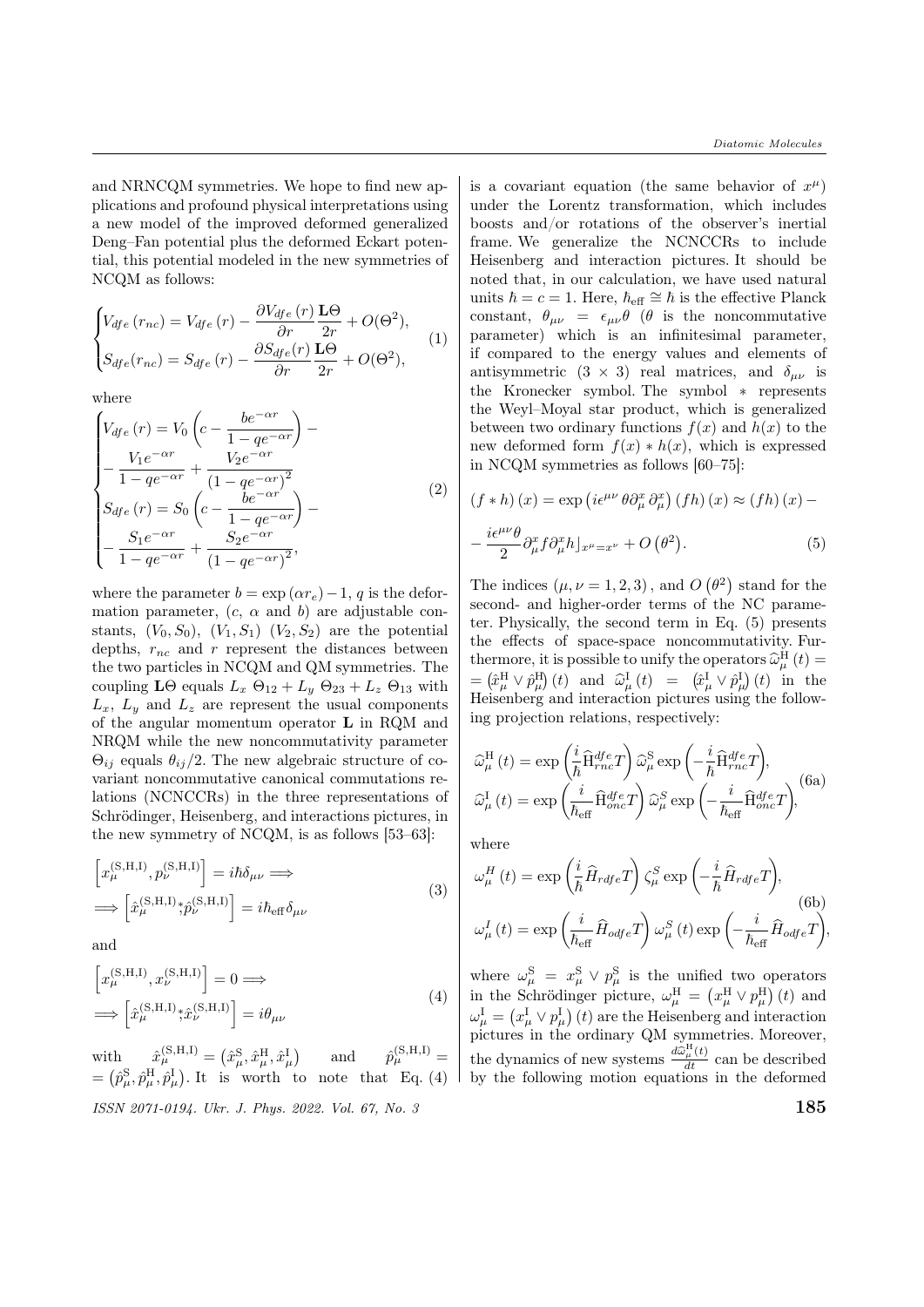and NRNCQM symmetries. We hope to find new applications and profound physical interpretations using a new model of the improved deformed generalized Deng–Fan potential plus the deformed Eckart potential, this potential modeled in the new symmetries of NCQM as follows:

$$
\begin{cases}\nV_{dfe}(r_{nc}) = V_{dfe}(r) - \frac{\partial V_{dfe}(r)}{\partial r} \frac{\mathbf{L}\Theta}{2r} + O(\Theta^2),\\ \nS_{dfe}(r_{nc}) = S_{dfe}(r) - \frac{\partial S_{dfe}(r)}{\partial r} \frac{\mathbf{L}\Theta}{2r} + O(\Theta^2),\n\end{cases}
$$
\n(1)

where

$$
\begin{cases}\nV_{dfe}(r) = V_0 \left( c - \frac{be^{-\alpha r}}{1 - q e^{-\alpha r}} \right) - \\
-\frac{V_1 e^{-\alpha r}}{1 - q e^{-\alpha r}} + \frac{V_2 e^{-\alpha r}}{(1 - q e^{-\alpha r})^2} \\
S_{dfe}(r) = S_0 \left( c - \frac{be^{-\alpha r}}{1 - q e^{-\alpha r}} \right) - \\
-\frac{S_1 e^{-\alpha r}}{1 - q e^{-\alpha r}} + \frac{S_2 e^{-\alpha r}}{(1 - q e^{-\alpha r})^2},\n\end{cases} \tag{2}
$$

where the parameter  $b = \exp(\alpha r_e) - 1$ , q is the deformation parameter,  $(c, \alpha \text{ and } b)$  are adjustable constants,  $(V_0, S_0)$ ,  $(V_1, S_1)$   $(V_2, S_2)$  are the potential depths,  $r_{nc}$  and  $r$  represent the distances between the two particles in NCQM and QM symmetries. The coupling LΘ equals  $L_x \Theta_{12} + L_y \Theta_{23} + L_z \Theta_{13}$  with  $L_x$ ,  $L_y$  and  $L_z$  are represent the usual components of the angular momentum operator L in RQM and NRQM while the new noncommutativity parameter  $\Theta_{ij}$  equals  $\theta_{ij}/2$ . The new algebraic structure of covariant noncommutative canonical commutations relations (NCNCCRs) in the three representations of Schrödinger, Heisenberg, and interactions pictures, in the new symmetry of NCQM, is as follows [53–63]:

$$
\begin{aligned}\n\left[x_{\mu}^{(\mathbf{S},\mathbf{H},\mathbf{I})}, p_{\nu}^{(\mathbf{S},\mathbf{H},\mathbf{I})}\right] &= i\hbar\delta_{\mu\nu} \Longrightarrow \\
\Longrightarrow \left[\hat{x}_{\mu}^{(\mathbf{S},\mathbf{H},\mathbf{I})}; \hat{p}_{\nu}^{(\mathbf{S},\mathbf{H},\mathbf{I})}\right] &= i\hbar_{\text{eff}}\delta_{\mu\nu}\n\end{aligned} \tag{3}
$$

and

$$
\left[x_{\mu}^{(\mathbf{S},\mathbf{H},\mathbf{I})}, x_{\nu}^{(\mathbf{S},\mathbf{H},\mathbf{I})}\right] = 0 \Longrightarrow
$$
\n
$$
\Longrightarrow \left[\hat{x}_{\mu}^{(\mathbf{S},\mathbf{H},\mathbf{I})}; \hat{x}_{\nu}^{(\mathbf{S},\mathbf{H},\mathbf{I})}\right] = i\theta_{\mu\nu}
$$
\n(4)

 $\begin{array}{lll} {\rm with} & \hat{x}^{\rm (S,H,I)}_{\mu} = \left( \hat{x}^{\rm S}_{\mu}, \hat{x}^{\rm H}_{\mu}, \hat{x}^{\rm I}_{\mu} \right) & \hspace{3mm} {\rm and} & \hspace{3mm} \hat{p}^{\rm (S,H,I)}_{\mu} = \end{array}$  $\hat{p}_{\mu}^{(S,H,I)}=$  $=(\hat{p}_{\mu}^{\rm S}, \hat{p}_{\mu}^{\rm H}, \hat{p}_{\mu}^{\rm I})$ . It is worth to note that Eq. (4)  $\frac{1}{185}$  ISSN 2071-0194. Ukr. J. Phys. 2022. Vol. 67, No. 3

is a covariant equation (the same behavior of  $x^{\mu}$ ) under the Lorentz transformation, which includes boosts and/or rotations of the observer's inertial frame. We generalize the NCNCCRs to include Heisenberg and interaction pictures. It should be noted that, in our calculation, we have used natural units  $\hbar = c = 1$ . Here,  $\hbar_{\text{eff}} \cong \hbar$  is the effective Planck constant,  $\theta_{\mu\nu} = \epsilon_{\mu\nu} \theta$  ( $\theta$  is the noncommutative parameter) which is an infinitesimal parameter, if compared to the energy values and elements of antisymmetric  $(3 \times 3)$  real matrices, and  $\delta_{\mu\nu}$  is the Kronecker symbol. The symbol \* represents the Weyl–Moyal star product, which is generalized between two ordinary functions  $f(x)$  and  $h(x)$  to the new deformed form  $f(x) * h(x)$ , which is expressed in NCQM symmetries as follows [60–75]:

$$
(f * h) (x) = \exp \left( i \epsilon^{\mu \nu} \theta \partial_{\mu}^{x} \partial_{\mu}^{x} \right) (fh) (x) \approx (fh) (x) -
$$

$$
- \frac{i \epsilon^{\mu \nu} \theta}{2} \partial_{\mu}^{x} f \partial_{\mu}^{x} h \rfloor_{x^{\mu} = x^{\nu}} + O \left( \theta^{2} \right). \tag{5}
$$

The indices  $(\mu, \nu = 1, 2, 3)$ , and  $O(\theta^2)$  stand for the second- and higher-order terms of the NC parameter. Physically, the second term in Eq. (5) presents the effects of space-space noncommutativity. Furthermore, it is possible to unify the operators  $\hat{\omega}_{\mu}^{\text{H}}(t) =$  $=$   $(\hat{x}_{\mu}^{\text{H}} \vee \hat{p}_{\mu}^{\text{H}})(t)$  and  $\hat{\omega}_{\mu}^{\text{I}}(t) =$   $(\hat{x}_{\mu}^{\text{I}} \vee \hat{p}_{\mu}^{\text{I}})(t)$  in the Heisenberg and interaction pictures using the following projection relations, respectively:

$$
\begin{split} \widehat{\omega}_{\mu}^{\mathrm{H}}\left(t\right) & =\exp\left(\frac{i}{\hbar}\widehat{\mathbf{H}}_{rnc}^{dfe}T\right)\widehat{\omega}_{\mu}^{\mathrm{S}}\exp\left(-\frac{i}{\hbar}\widehat{\mathbf{H}}_{rnc}^{dfe}T\right),\\ \widehat{\omega}_{\mu}^{\mathrm{I}}\left(t\right) & =\exp\left(\frac{i}{\hbar_{\mathrm{eff}}}\widehat{\mathbf{H}}_{one}^{dfe}T\right)\widehat{\omega}_{\mu}^{\mathrm{S}}\exp\left(-\frac{i}{\hbar_{\mathrm{eff}}}\widehat{\mathbf{H}}_{one}^{dfe}T\right),\end{split} \tag{6a}
$$

where

$$
\omega_{\mu}^{H}(t) = \exp\left(\frac{i}{\hbar}\hat{H}_{rdfe}T\right)\zeta_{\mu}^{S} \exp\left(-\frac{i}{\hbar}\hat{H}_{rdfe}T\right),
$$
\n(6b)\n
$$
\omega_{\mu}^{I}(t) = \exp\left(\frac{i}{\hbar_{\text{eff}}}\hat{H}_{odfe}T\right)\omega_{\mu}^{S}(t) \exp\left(-\frac{i}{\hbar_{\text{eff}}}\hat{H}_{odfe}T\right),
$$

where  $\omega_{\mu}^{\rm S} = x_{\mu}^{\rm S} \vee p_{\mu}^{\rm S}$  is the unified two operators in the Schrödinger picture,  $\omega_{\mu}^{\rm H} = (x_{\mu}^{\rm H} \vee p_{\mu}^{\rm H}) (t)$  and  $\omega_{\mu}^{\rm I} = \left(x_{\mu}^{\rm I} \vee p_{\mu}^{\rm I}\right)(t)$  are the Heisenberg and interaction pictures in the ordinary QM symmetries. Moreover, the dynamics of new systems  $\frac{d\widehat{\omega}_{\mu}^{H}(t)}{dt}$  can be described by the following motion equations in the deformed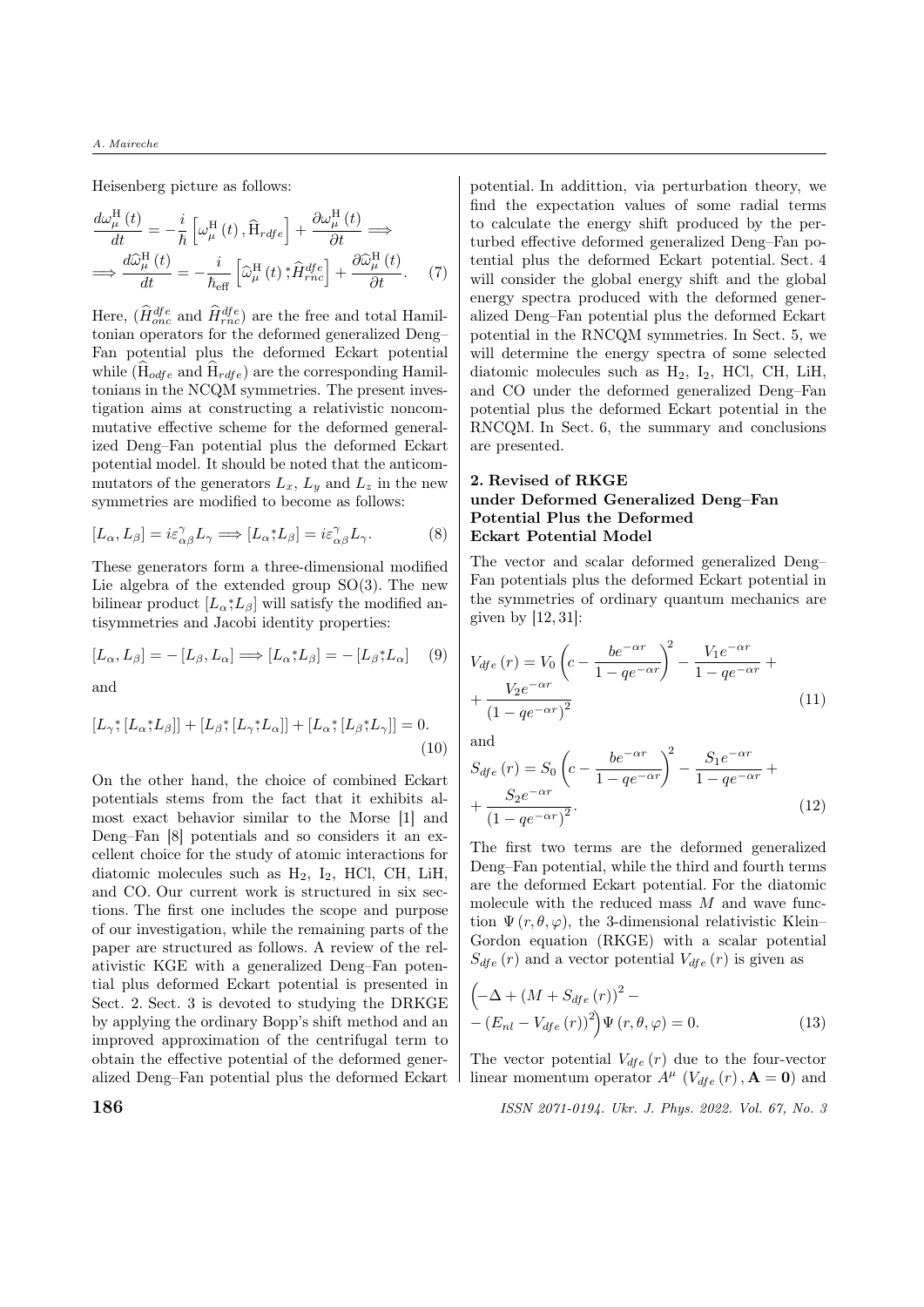Heisenberg picture as follows:

$$
\frac{d\omega_{\mu}^{\text{H}}(t)}{dt} = -\frac{i}{\hbar} \left[ \omega_{\mu}^{\text{H}}(t), \hat{H}_{\text{rdfe}} \right] + \frac{\partial \omega_{\mu}^{\text{H}}(t)}{\partial t} \implies
$$
\n
$$
\implies \frac{d\hat{\omega}_{\mu}^{\text{H}}(t)}{dt} = -\frac{i}{\hbar_{\text{eff}}} \left[ \hat{\omega}_{\mu}^{\text{H}}(t), \hat{H}_{\text{rnc}}^{\text{dfe}} \right] + \frac{\partial \hat{\omega}_{\mu}^{\text{H}}(t)}{\partial t}. \tag{7}
$$

Here,  $(\hat{H}_{one}^{dfe})$  and  $\hat{H}_{rnc}^{dfe})$  are the free and total Hamiltonian operators for the deformed generalized Deng– Fan potential plus the deformed Eckart potential while  $(H_{odfe}$  and  $H_{rdfe})$  are the corresponding Hamiltonians in the NCQM symmetries. The present investigation aims at constructing a relativistic noncommutative effective scheme for the deformed generalized Deng–Fan potential plus the deformed Eckart potential model. It should be noted that the anticommutators of the generators  $L_x$ ,  $L_y$  and  $L_z$  in the new symmetries are modified to become as follows:

$$
[L_{\alpha}, L_{\beta}] = i\varepsilon_{\alpha\beta}^{\gamma} L_{\gamma} \Longrightarrow [L_{\alpha}^{\ast}, L_{\beta}] = i\varepsilon_{\alpha\beta}^{\gamma} L_{\gamma}.
$$
 (8)

These generators form a three-dimensional modified Lie algebra of the extended group  $SO(3)$ . The new bilinear product  $[L_{\alpha}, L_{\beta}]$  will satisfy the modified antisymmetries and Jacobi identity properties:

$$
[L_{\alpha}, L_{\beta}] = -[L_{\beta}, L_{\alpha}] \Longrightarrow [L_{\alpha} * L_{\beta}] = -[L_{\beta} * L_{\alpha}] \quad (9)
$$

and

$$
[L_{\gamma^*}[L_{\alpha^*}L_{\beta}]] + [L_{\beta^*}[L_{\gamma^*}L_{\alpha}]] + [L_{\alpha^*}[L_{\beta^*}L_{\gamma}]] = 0.
$$
\n(10)

On the other hand, the choice of combined Eckart potentials stems from the fact that it exhibits almost exact behavior similar to the Morse [1] and Deng–Fan [8] potentials and so considers it an excellent choice for the study of atomic interactions for diatomic molecules such as  $H_2$ ,  $I_2$ , HCl, CH, LiH, and CO. Our current work is structured in six sections. The first one includes the scope and purpose of our investigation, while the remaining parts of the paper are structured as follows. A review of the relativistic KGE with a generalized Deng–Fan potential plus deformed Eckart potential is presented in Sect. 2. Sect. 3 is devoted to studying the DRKGE by applying the ordinary Bopp's shift method and an improved approximation of the centrifugal term to obtain the effective potential of the deformed generalized Deng–Fan potential plus the deformed Eckart

potential. In addittion, via perturbation theory, we find the expectation values of some radial terms to calculate the energy shift produced by the perturbed effective deformed generalized Deng–Fan potential plus the deformed Eckart potential. Sect. 4 will consider the global energy shift and the global energy spectra produced with the deformed generalized Deng–Fan potential plus the deformed Eckart potential in the RNCQM symmetries. In Sect. 5, we will determine the energy spectra of some selected diatomic molecules such as  $H_2$ ,  $I_2$ , HCl, CH, LiH, and CO under the deformed generalized Deng–Fan potential plus the deformed Eckart potential in the RNCQM. In Sect. 6, the summary and conclusions are presented.

### 2. Revised of RKGE under Deformed Generalized Deng–Fan Potential Plus the Deformed Eckart Potential Model

The vector and scalar deformed generalized Deng– Fan potentials plus the deformed Eckart potential in the symmetries of ordinary quantum mechanics are given by [12, 31]:

$$
V_{dfe}(r) = V_0 \left(c - \frac{be^{-\alpha r}}{1 - qe^{-\alpha r}}\right)^2 - \frac{V_1 e^{-\alpha r}}{1 - qe^{-\alpha r}} + \frac{V_2 e^{-\alpha r}}{\left(1 - qe^{-\alpha r}\right)^2}
$$
\n
$$
(11)
$$

and

$$
S_{dfe}(r) = S_0 \left( c - \frac{be^{-\alpha r}}{1 - q e^{-\alpha r}} \right)^2 - \frac{S_1 e^{-\alpha r}}{1 - q e^{-\alpha r}} + + \frac{S_2 e^{-\alpha r}}{(1 - q e^{-\alpha r})^2}.
$$
 (12)

The first two terms are the deformed generalized Deng–Fan potential, while the third and fourth terms are the deformed Eckart potential. For the diatomic molecule with the reduced mass  $M$  and wave function  $\Psi(r, \theta, \varphi)$ , the 3-dimensional relativistic Klein– Gordon equation (RKGE) with a scalar potential  $S_{dfe}(r)$  and a vector potential  $V_{dfe}(r)$  is given as

$$
\left(-\Delta + \left(M + S_{dfe}\left(r\right)\right)^2 - \right. \\
-\left(E_{nl} - V_{dfe}\left(r\right)\right)^2\right)\Psi\left(r, \theta, \varphi\right) = 0.\n\tag{13}
$$

The vector potential  $V_{dfe}(r)$  due to the four-vector linear momentum operator  $A^{\mu}$  ( $V_{dfe}(r)$ ,  $\mathbf{A} = \mathbf{0}$ ) and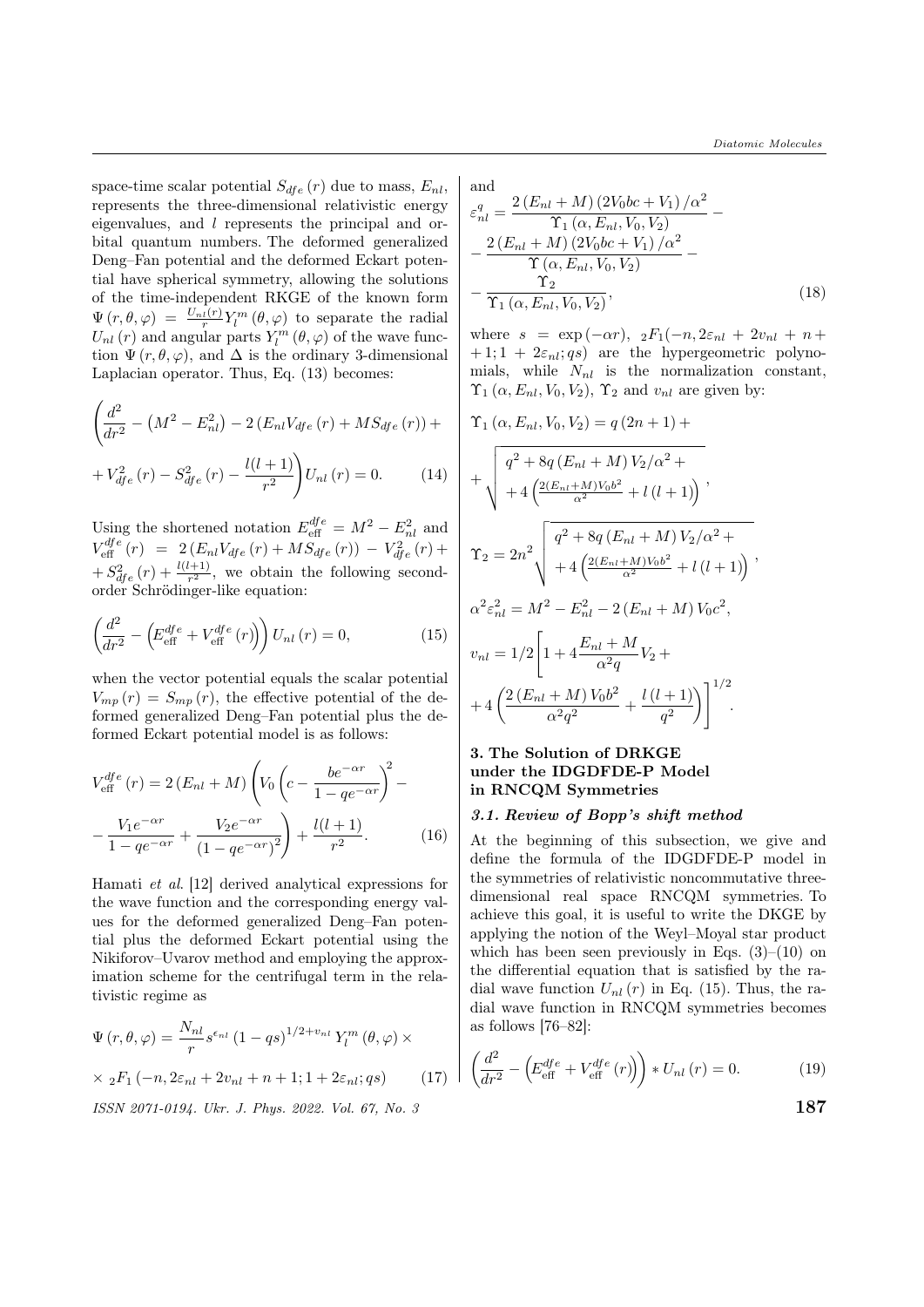space-time scalar potential  $S_{dfe}(r)$  due to mass,  $E_{nl}$ , represents the three-dimensional relativistic energy eigenvalues, and  $l$  represents the principal and orbital quantum numbers. The deformed generalized Deng–Fan potential and the deformed Eckart potential have spherical symmetry, allowing the solutions of the time-independent RKGE of the known form  $\Psi(r,\theta,\varphi) = \frac{U_{nl}(r)}{r} Y_l^m(\theta,\varphi)$  to separate the radial  $U_{nl}\left(r\right)$  and angular parts  $Y_{l}^{m}\left(\theta,\varphi\right)$  of the wave function  $\Psi(r, \theta, \varphi)$ , and  $\Delta$  is the ordinary 3-dimensional Laplacian operator. Thus, Eq. (13) becomes:

$$
\left(\frac{d^2}{dr^2} - \left(M^2 - E_{nl}^2\right) - 2\left(E_{nl}V_{dfe}\left(r\right) + MS_{dfe}\left(r\right)\right) + V_{dfe}^2\left(r\right) - S_{dfe}^2\left(r\right) - \frac{l(l+1)}{r^2}\right)U_{nl}\left(r\right) = 0.
$$
\n(14)

Using the shortened notation  $E_{\text{eff}}^{dfe} = M^2 - E_{nl}^2$  and  $V_{\text{eff}}^{dfe}(r) = 2(E_{nl}V_{dfe}(r) + MS_{dfe}(r)) - V_{dfe}^2(r) +$  $+ S_{dfe}^2(r) + \frac{l(l+1)}{r^2}$ , we obtain the following secondorder Schrödinger-like equation:

$$
\left(\frac{d^2}{dr^2} - \left(E_{\text{eff}}^{dfe} + V_{\text{eff}}^{dfe}(r)\right)\right)U_{nl}(r) = 0,\tag{15}
$$

when the vector potential equals the scalar potential  $V_{mp}(r) = S_{mp}(r)$ , the effective potential of the deformed generalized Deng–Fan potential plus the deformed Eckart potential model is as follows:

$$
V_{\text{eff}}^{dfe}(r) = 2(E_{nl} + M) \left( V_0 \left( c - \frac{be^{-\alpha r}}{1 - q e^{-\alpha r}} \right)^2 - \frac{V_1 e^{-\alpha r}}{1 - q e^{-\alpha r}} + \frac{V_2 e^{-\alpha r}}{(1 - q e^{-\alpha r})^2} \right) + \frac{l(l+1)}{r^2}.
$$
 (16)

Hamati et al. [12] derived analytical expressions for the wave function and the corresponding energy values for the deformed generalized Deng–Fan potential plus the deformed Eckart potential using the Nikiforov–Uvarov method and employing the approximation scheme for the centrifugal term in the relativistic regime as

$$
\Psi(r,\theta,\varphi) = \frac{N_{nl}}{r} s^{\epsilon_{nl}} (1 - qs)^{1/2 + v_{nl}} Y_l^m (\theta, \varphi) \times
$$
  
 
$$
\times {}_{2}F_1(-n, 2\varepsilon_{nl} + 2v_{nl} + n + 1; 1 + 2\varepsilon_{nl}; qs)
$$
 (17)

 $\text{ISSN } 2071\text{-}0194$ . Ukr. J. Phys. 2022. Vol. 67, No. 3  $187$ 

and  $2I\left( \frac{9V}{2a} + V \right) / a^2$ 

$$
\varepsilon_{nl}^{q} = \frac{2(E_{nl} + M)(2V_0 0c + V_1)/\alpha^2}{\Upsilon_1(\alpha, E_{nl}, V_0, V_2)} - \frac{2(E_{nl} + M)(2V_0 0c + V_1)/\alpha^2}{\Upsilon(\alpha, E_{nl}, V_0, V_2)} - \frac{\Upsilon_2}{\Upsilon_1(\alpha, E_{nl}, V_0, V_2)},
$$
\n(18)

where  $s = \exp(-\alpha r), \, 2F_1(-n, 2\varepsilon_{nl} + 2v_{nl} + n +$  $+ 1; 1 + 2\varepsilon_{nl}; g_s$  are the hypergeometric polynomials, while  $N_{nl}$  is the normalization constant,  $\Upsilon_1(\alpha, E_{nl}, V_0, V_2)$ ,  $\Upsilon_2$  and  $v_{nl}$  are given by:

$$
\Upsilon_{1} (\alpha, E_{nl}, V_{0}, V_{2}) = q (2n + 1) +
$$
\n
$$
+ \sqrt{\frac{q^{2} + 8q (E_{nl} + M) V_{2}/\alpha^{2} +}{4 \left(\frac{2(E_{nl} + M) V_{0} b^{2}}{\alpha^{2}} + l (l + 1)\right)}},
$$
\n
$$
\Upsilon_{2} = 2n^{2} \sqrt{\frac{q^{2} + 8q (E_{nl} + M) V_{2}/\alpha^{2} +}{4 \left(\frac{2(E_{nl} + M) V_{0} b^{2}}{\alpha^{2}} + l (l + 1)\right)}},
$$
\n
$$
\alpha^{2} \varepsilon_{nl}^{2} = M^{2} - E_{nl}^{2} - 2 (E_{nl} + M) V_{0} c^{2},
$$
\n
$$
v_{nl} = 1/2 \left[1 + 4 \frac{E_{nl} + M}{\alpha^{2} q} V_{2} + \frac{2 (E_{nl} + M) V_{0} b^{2}}{\alpha^{2} q^{2}} + \frac{l (l + 1)}{q^{2}}\right]^{1/2}.
$$

## 3. The Solution of DRKGE under the IDGDFDE-P Model in RNCQM Symmetries

#### 3.1. Review of Bopp's shift method

At the beginning of this subsection, we give and define the formula of the IDGDFDE-P model in the symmetries of relativistic noncommutative threedimensional real space RNCQM symmetries. To achieve this goal, it is useful to write the DKGE by applying the notion of the Weyl–Moyal star product which has been seen previously in Eqs.  $(3)-(10)$  on the differential equation that is satisfied by the radial wave function  $U_{nl}(r)$  in Eq. (15). Thus, the radial wave function in RNCQM symmetries becomes as follows [76–82]:

$$
\left(\frac{d^2}{dr^2} - \left(E_{\text{eff}}^{dfe} + V_{\text{eff}}^{dfe}(r)\right)\right) * U_{nl}(r) = 0.
$$
\n(19)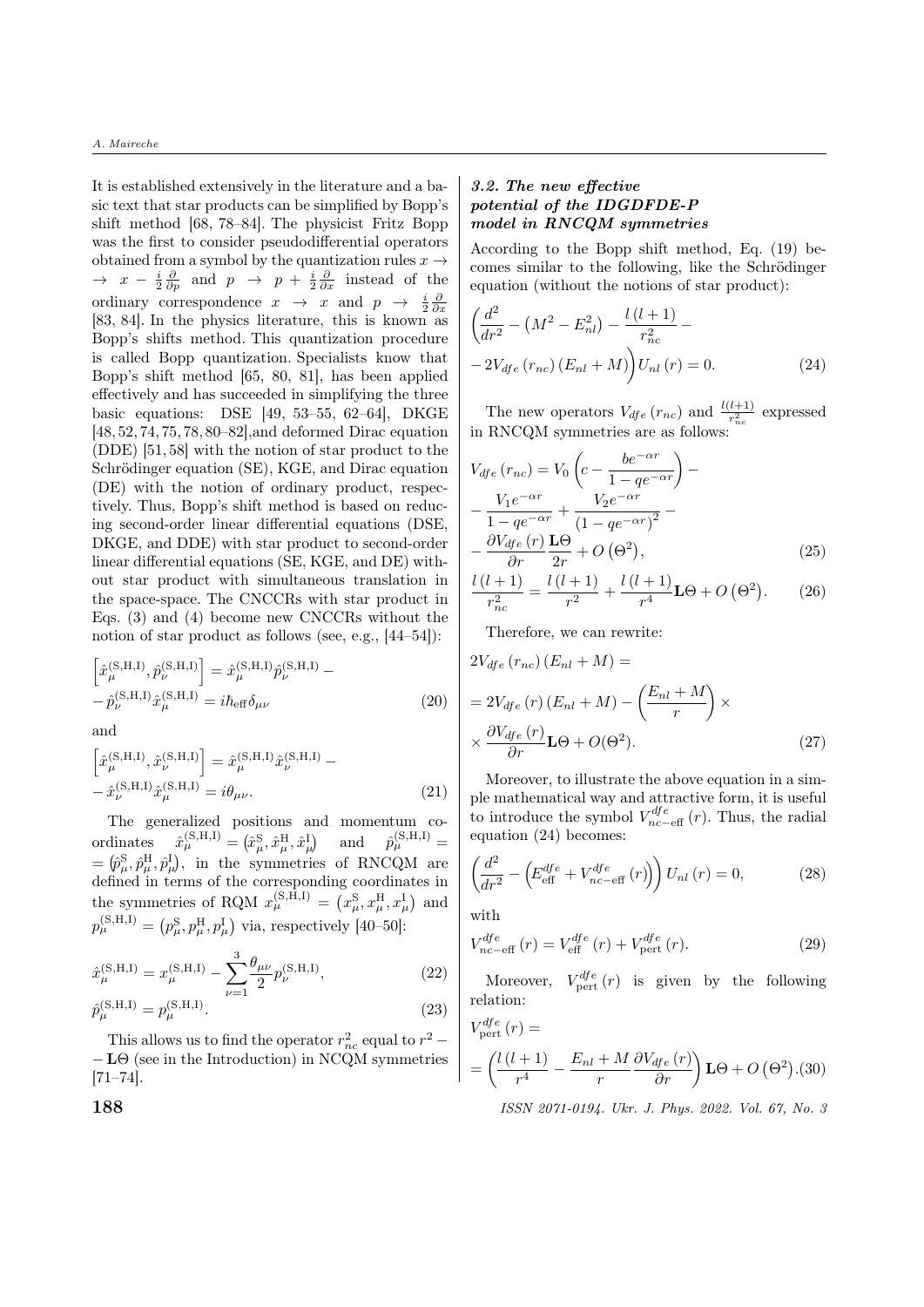It is established extensively in the literature and a basic text that star products can be simplified by Bopp's shift method [68, 78–84]. The physicist Fritz Bopp was the first to consider pseudodifferential operators obtained from a symbol by the quantization rules  $x \rightarrow$  $\rightarrow x - \frac{i}{2} \frac{\partial}{\partial p}$  and  $p \rightarrow p + \frac{i}{2} \frac{\partial}{\partial x}$  instead of the ordinary correspondence  $x \rightarrow x$  and  $p \rightarrow \frac{i}{2} \frac{\partial}{\partial x}$ [83, 84]. In the physics literature, this is known as Bopp's shifts method. This quantization procedure is called Bopp quantization. Specialists know that Bopp's shift method [65, 80, 81], has been applied effectively and has succeeded in simplifying the three basic equations: DSE [49, 53–55, 62–64], DKGE [48, 52, 74, 75, 78, 80–82],and deformed Dirac equation (DDE) [51, 58] with the notion of star product to the Schrödinger equation (SE), KGE, and Dirac equation (DE) with the notion of ordinary product, respectively. Thus, Bopp's shift method is based on reducing second-order linear differential equations (DSE, DKGE, and DDE) with star product to second-order linear differential equations (SE, KGE, and DE) without star product with simultaneous translation in the space-space. The CNCCRs with star product in Eqs. (3) and (4) become new CNCCRs without the notion of star product as follows (see, e.g., [44–54]):

$$
\left[\hat{x}_{\mu}^{(\text{S,H,I})}, \hat{p}_{\nu}^{(\text{S,H,I})}\right] = \hat{x}_{\mu}^{(\text{S,H,I})} \hat{p}_{\nu}^{(\text{S,H,I})} - \n- \hat{p}_{\nu}^{(\text{S,H,I})} \hat{x}_{\mu}^{(\text{S,H,I})} = i\hbar_{\text{eff}} \delta_{\mu\nu}
$$
\n(20)

and

$$
\left[\hat{x}_{\mu}^{(S,H,I)}, \hat{x}_{\nu}^{(S,H,I)}\right] = \hat{x}_{\mu}^{(S,H,I)} \hat{x}_{\nu}^{(S,H,I)} - \n- \hat{x}_{\nu}^{(S,H,I)} \hat{x}_{\mu}^{(S,H,I)} = i\theta_{\mu\nu}.
$$
\n(21)

The generalized positions and momentum co- $\text{ordinates } \quad \hat x^{\text{(S,H,I)}}_{\mu} = \left( \hat x^{\text{S}}_{\mu}, \hat x^{\text{H}}_{\mu}, \hat x^{\text{I}}_{\mu} \right) \quad \text{ and } \quad \hat p^{\text{(S,H,I)}}_{\mu} =$  $=\left(\hat{p}_{\mu}^{\mathrm{S}},\hat{p}_{\mu}^{\mathrm{H}},\hat{p}_{\mu}^{\mathrm{I}}\right),$  in the symmetries of RNCQM are defined in terms of the corresponding coordinates in the symmetries of RQM  $x_{\mu}^{(\text{S},\text{H},\text{I})} = (x_{\mu}^{\text{S}}, x_{\mu}^{\text{H}}, x_{\mu}^{\text{I}})$  and  $p_{\mu}^{(S,H,I)} = (p_{\mu}^{S}, p_{\mu}^{H}, p_{\mu}^{I})$  via, respectively [40–50]:

$$
\hat{x}_{\mu}^{(S,H,I)} = x_{\mu}^{(S,H,I)} - \sum_{\nu=1}^{3} \frac{\theta_{\mu\nu}}{2} p_{\nu}^{(S,H,I)},
$$
\n(22)\n  
\n
$$
\hat{p}_{\mu}^{(S,H,I)} = p_{\mu}^{(S,H,I)}.
$$
\n(23)

This allows us to find the operator 
$$
r_{nc}^2
$$
 equal to  $r^2 -$   
-**L**Theta (see in the Introduction) in NCQM symmetries

### 3.2. The new effective potential of the IDGDFDE-P model in RNCQM symmetries

According to the Bopp shift method, Eq. (19) becomes similar to the following, like the Schrödinger equation (without the notions of star product):

$$
\left(\frac{d^2}{dr^2} - \left(M^2 - E_{nl}^2\right) - \frac{l\left(l+1\right)}{r_{nc}^2} - 2V_{dfe}\left(r_{nc}\right)\left(E_{nl} + M\right)\right)U_{nl}\left(r\right) = 0.
$$
\n(24)

The new operators  $V_{dfe}(r_{nc})$  and  $\frac{l(l+1)}{r_{nc}^2}$  expressed in RNCQM symmetries are as follows:

$$
V_{dfe}(r_{nc}) = V_0 \left( c - \frac{be^{-\alpha r}}{1 - q e^{-\alpha r}} \right) -
$$
  

$$
- \frac{V_1 e^{-\alpha r}}{1 - q e^{-\alpha r}} + \frac{V_2 e^{-\alpha r}}{(1 - q e^{-\alpha r})^2} -
$$
  

$$
- \frac{\partial V_{dfe}(r)}{\partial r} \frac{\mathbf{L}\Theta}{2r} + O\left(\Theta^2\right), \tag{25}
$$

$$
\frac{l(l+1)}{r_{nc}^2} = \frac{l(l+1)}{r^2} + \frac{l(l+1)}{r^4} \mathbf{L}\Theta + O\left(\Theta^2\right).
$$
 (26)

Therefore, we can rewrite:

$$
2V_{dfe}(r_{nc})(E_{nl} + M) =
$$
  
=  $2V_{dfe}(r)(E_{nl} + M) - \left(\frac{E_{nl} + M}{r}\right) \times$   
 $\times \frac{\partial V_{dfe}(r)}{\partial r} \mathbf{L}\Theta + O(\Theta^2).$  (27)

Moreover, to illustrate the above equation in a simple mathematical way and attractive form, it is useful to introduce the symbol  $V_{nc-eff}^{dfe}(r)$ . Thus, the radial equation (24) becomes:

$$
\left(\frac{d^2}{dr^2} - \left(E_{\text{eff}}^{dfe} + V_{nc-\text{eff}}^{dfe}(r)\right)\right)U_{nl}(r) = 0,\tag{28}
$$

with

$$
V_{nc-eff}^{dfe}(r) = V_{\text{eff}}^{dfe}(r) + V_{\text{pert}}^{dfe}(r). \tag{29}
$$

Moreover,  $V_{\text{pert}}^{dfe}(r)$  is given by the following relation:

$$
V_{\text{pert}}^{dfe}(r) =
$$
  
=  $\left(\frac{l(l+1)}{r^4} - \frac{E_{nl} + M}{r} \frac{\partial V_{dfe}(r)}{\partial r}\right) \mathbf{L}\Theta + O\left(\Theta^2\right)$ . (30)

**188** ISSN 2071-0194. Ukr. J. Phys. 2022. Vol. 67, No. 3

[71–74].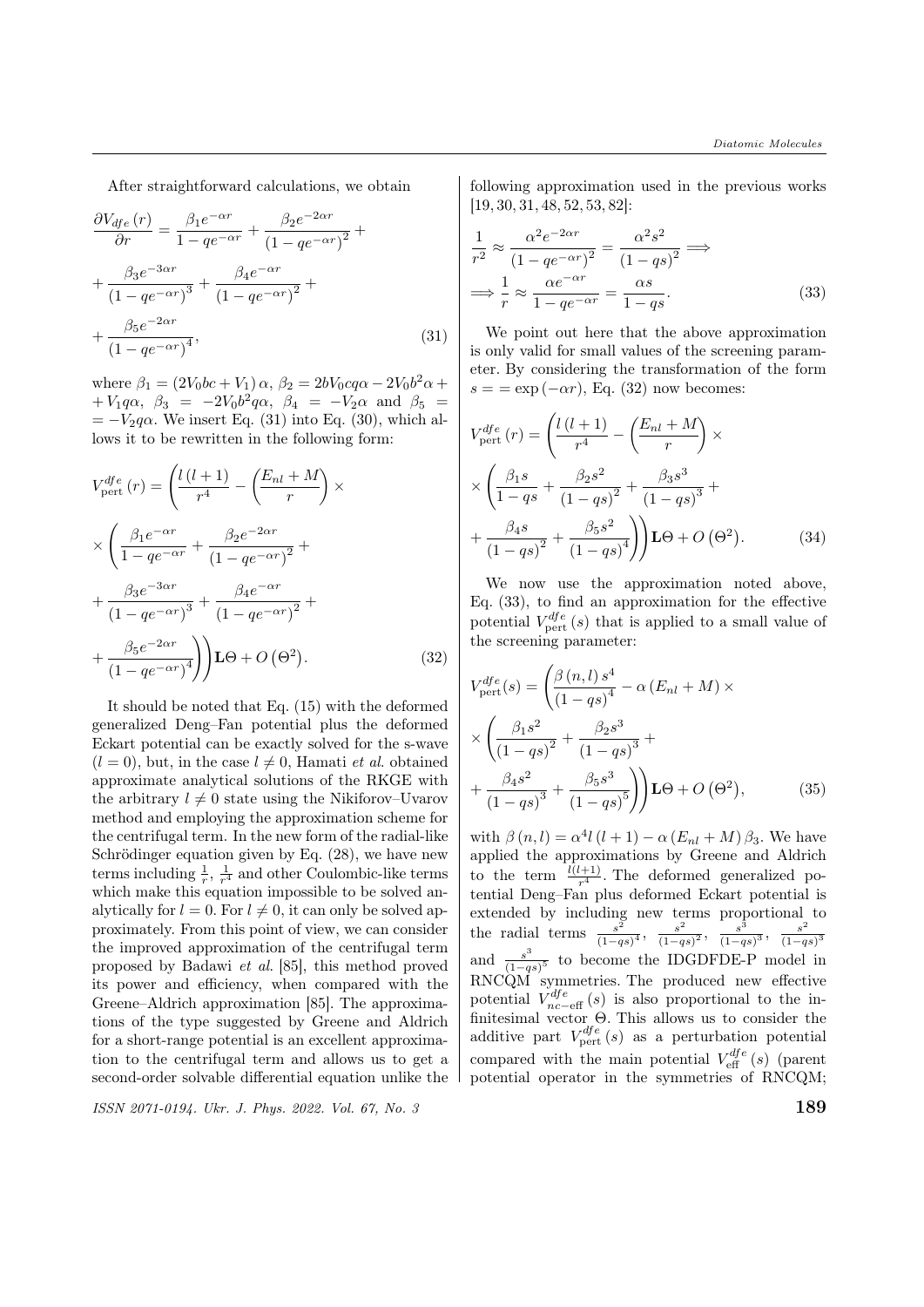After straightforward calculations, we obtain

$$
\frac{\partial V_{dfe}(r)}{\partial r} = \frac{\beta_1 e^{-\alpha r}}{1 - q e^{-\alpha r}} + \frac{\beta_2 e^{-2\alpha r}}{\left(1 - q e^{-\alpha r}\right)^2} + \frac{\beta_3 e^{-3\alpha r}}{\left(1 - q e^{-\alpha r}\right)^3} + \frac{\beta_4 e^{-\alpha r}}{\left(1 - q e^{-\alpha r}\right)^2} + \frac{\beta_5 e^{-2\alpha r}}{\left(1 - q e^{-\alpha r}\right)^4},\tag{31}
$$

where  $\beta_1 = (2V_0bc + V_1)\alpha$ ,  $\beta_2 = 2bV_0cq\alpha - 2V_0b^2\alpha +$  $+ V_1 q \alpha$ ,  $\beta_3 = -2 V_0 b^2 q \alpha$ ,  $\beta_4 = - V_2 \alpha$  and  $\beta_5 =$  $=-V_2 q\alpha$ . We insert Eq. (31) into Eq. (30), which allows it to be rewritten in the following form:

$$
V_{\text{pert}}^{dfe}(r) = \left(\frac{l(l+1)}{r^4} - \left(\frac{E_{nl} + M}{r}\right) \times \frac{\left(\frac{\beta_1 e^{-\alpha r}}{1 - q e^{-\alpha r}} + \frac{\beta_2 e^{-2\alpha r}}{(1 - q e^{-\alpha r})^2} + \frac{\beta_3 e^{-3\alpha r}}{(1 - q e^{-\alpha r})^3} + \frac{\beta_4 e^{-\alpha r}}{(1 - q e^{-\alpha r})^2} + \frac{\beta_5 e^{-2\alpha r}}{(1 - q e^{-\alpha r})^4}\right) \mathbf{L}\Theta + O\left(\Theta^2\right). \tag{32}
$$

It should be noted that Eq. (15) with the deformed generalized Deng–Fan potential plus the deformed Eckart potential can be exactly solved for the s-wave  $(l = 0)$ , but, in the case  $l \neq 0$ , Hamati *et al.* obtained approximate analytical solutions of the RKGE with the arbitrary  $l \neq 0$  state using the Nikiforov–Uvarov method and employing the approximation scheme for the centrifugal term. In the new form of the radial-like Schrödinger equation given by Eq.  $(28)$ , we have new terms including  $\frac{1}{r}$ ,  $\frac{1}{r^4}$  and other Coulombic-like terms which make this equation impossible to be solved analytically for  $l = 0$ . For  $l \neq 0$ , it can only be solved approximately. From this point of view, we can consider the improved approximation of the centrifugal term proposed by Badawi et al. [85], this method proved its power and efficiency, when compared with the Greene–Aldrich approximation [85]. The approximations of the type suggested by Greene and Aldrich for a short-range potential is an excellent approximation to the centrifugal term and allows us to get a second-order solvable differential equation unlike the

 $\frac{1}{18}$  ISSN 2071-0194. Ukr. J. Phys. 2022. Vol. 67, No. 3  $189$ 

following approximation used in the previous works [19, 30, 31, 48, 52, 53, 82]:

$$
\frac{1}{r^2} \approx \frac{\alpha^2 e^{-2\alpha r}}{\left(1 - q e^{-\alpha r}\right)^2} = \frac{\alpha^2 s^2}{\left(1 - qs\right)^2} \Longrightarrow
$$
\n
$$
\Longrightarrow \frac{1}{r} \approx \frac{\alpha e^{-\alpha r}}{1 - q e^{-\alpha r}} = \frac{\alpha s}{1 - qs}.
$$
\n(33)

We point out here that the above approximation is only valid for small values of the screening parameter. By considering the transformation of the form  $s = \exp(-\alpha r)$ , Eq. (32) now becomes:

$$
V_{\text{pert}}^{dfe}(r) = \left(\frac{l(l+1)}{r^4} - \left(\frac{E_{nl} + M}{r}\right) \times \frac{\beta_1 s}{1 - qs} + \frac{\beta_2 s^2}{(1 - qs)^2} + \frac{\beta_3 s^3}{(1 - qs)^3} + \frac{\beta_4 s}{(1 - qs)^2} + \frac{\beta_5 s^2}{(1 - qs)^4}\right) \mathbf{L}\Theta + O\left(\Theta^2\right). \tag{34}
$$

We now use the approximation noted above, Eq. (33), to find an approximation for the effective potential  $V_{\text{pert}}^{dfe}(s)$  that is applied to a small value of the screening parameter:

$$
V_{\text{pert}}^{dfe}(s) = \left(\frac{\beta (n, l) s^4}{(1 - qs)^4} - \alpha (E_{nl} + M) \times \right)
$$
  
 
$$
\times \left(\frac{\beta_1 s^2}{(1 - qs)^2} + \frac{\beta_2 s^3}{(1 - qs)^3} + \frac{\beta_4 s^2}{(1 - qs)^3} + \frac{\beta_5 s^3}{(1 - qs)^5}\right) \mathbf{L}\Theta + O\left(\Theta^2\right), \tag{35}
$$

with  $\beta(n, l) = \alpha^4 l (l + 1) - \alpha (E_{nl} + M) \beta_3$ . We have applied the approximations by Greene and Aldrich to the term  $\frac{l(l+1)}{r^4}$ . The deformed generalized potential Deng–Fan plus deformed Eckart potential is extended by including new terms proportional to the radial terms  $\frac{s^2}{(1-a)^2}$  $\frac{s^2}{(1-qs)^4}, \frac{s^2}{(1-q)}$  $\frac{s^2}{(1-qs)^2}, \frac{s^3}{(1-q)}$  $\frac{s^3}{(1-qs)^3}, \frac{s^2}{(1-q)}$  $\overline{(1-qs)^3}$ and  $\frac{s^3}{(1-a)}$  $\frac{s^{3}}{(1-q)s^{5}}$  to become the IDGDFDE-P model in RNCQM symmetries. The produced new effective potential  $V_{nc-eff}^{dfe}(s)$  is also proportional to the infinitesimal vector Θ. This allows us to consider the additive part  $V_{\text{pert}}^{dfe}(s)$  as a perturbation potential compared with the main potential  $V_{\text{eff}}^{dfe}(s)$  (parent potential operator in the symmetries of RNCQM;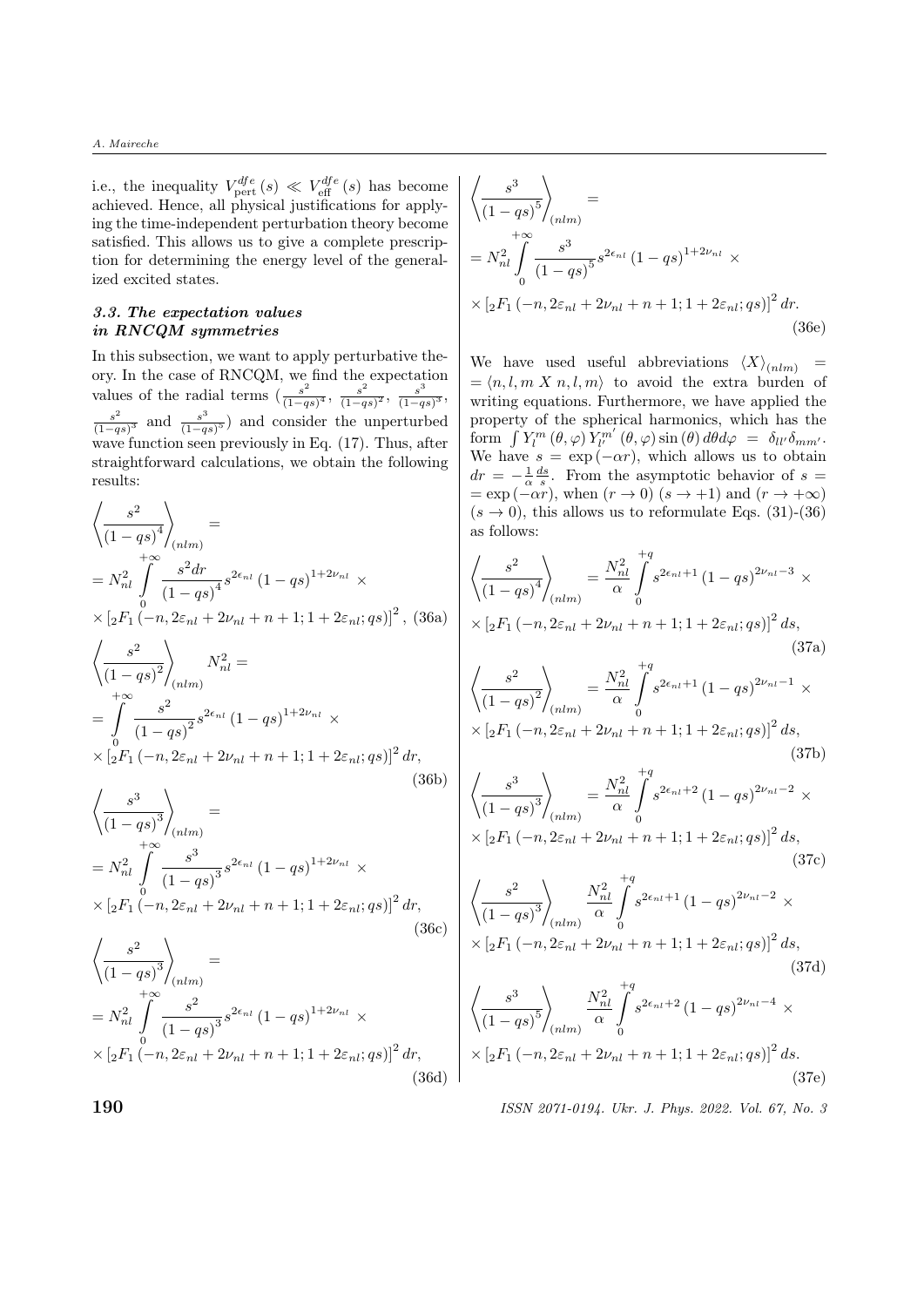i.e., the inequality  $V_{\text{pert}}^{dfe}(s) \ll V_{\text{eff}}^{dfe}(s)$  has become achieved. Hence, all physical justifications for applying the time-independent perturbation theory become satisfied. This allows us to give a complete prescription for determining the energy level of the generalized excited states.

### 3.3. The expectation values in RNCQM symmetries

In this subsection, we want to apply perturbative theory. In the case of RNCQM, we find the expectation values of the radial terms  $\left(\frac{s^2}{1-r^2}\right)$  $\frac{s^2}{(1-qs)^4}, \frac{s^2}{(1-q)}$  $\frac{s^2}{(1-qs)^2}, \frac{s^3}{(1-q)}$  $\frac{s^{\circ}}{(1-qs)^{3}},$  $s^2$  $\frac{s^2}{(1-qs)^3}$  and  $\frac{s^3}{(1-qs)}$  $\frac{s^{5}}{(1-qs)^{5}}$  and consider the unperturbed wave function seen previously in Eq. (17). Thus, after straightforward calculations, we obtain the following results:

$$
\begin{aligned}\n\left\langle \frac{s^2}{(1 - qs)^4} \right\rangle_{(nlm)} &=\\
= N_{nl}^2 \int_{0}^{1} \frac{s^2 dr}{(1 - qs)^4} s^{2\epsilon_{nl}} (1 - qs)^{1 + 2\nu_{nl}} \times\\
\times \left[ {}_2F_1 \left( -n, 2\varepsilon_{nl} + 2\nu_{nl} + n + 1; 1 + 2\varepsilon_{nl}; qs \right) \right]^2, (36a) \\
\left\langle \frac{s^2}{(1 - qs)^2} \right\rangle_{(nlm)} N_{nl}^2 &=\\
= \int_{0}^{+\infty} \frac{s^2}{(1 - qs)^2} s^{2\epsilon_{nl}} (1 - qs)^{1 + 2\nu_{nl}} \times\\
\times \left[ {}_2F_1 \left( -n, 2\varepsilon_{nl} + 2\nu_{nl} + n + 1; 1 + 2\varepsilon_{nl}; qs \right) \right]^2 dr, \\
\left\langle \frac{s^3}{(1 - qs)^3} \right\rangle &=\\
\end{aligned} \tag{36b}
$$

$$
\begin{aligned}\n&\left\langle (1 - qs)^3 / \frac{1}{(nlm)} \right. \\
&= N_{nl}^2 \int_{0}^{+\infty} \frac{s^3}{(1 - qs)^3} s^{2\epsilon_{nl}} (1 - qs)^{1 + 2\nu_{nl}} \times \\
&\times \left[ {}_2F_1 \left( -n, 2\varepsilon_{nl} + 2\nu_{nl} + n + 1; 1 + 2\varepsilon_{nl}; qs \right) \right]^2 dr, \\
&\left\langle \frac{s^2}{(1 - qs)^3} \right\rangle_{(nlm)} \\
&= N_{nl}^2 \int_{0}^{+\infty} \frac{s^2}{(1 - qs)^3} s^{2\epsilon_{nl}} (1 - qs)^{1 + 2\nu_{nl}} \times \\
&\quad \text{and} \\
&\quad \text{and} \\
&\quad \text{and} \\
\end{aligned}
$$

 $\times [ {}_{2}F_{1}(-n, 2\varepsilon_{nl} + 2\nu_{nl} + n + 1; 1 + 2\varepsilon_{nl}; qs)]^{2} dr,$ 

(36d)

$$
\left\langle \frac{s^3}{(1 - qs)^5} \right\rangle_{(nlm)} =
$$
\n
$$
= N_{nl}^2 \int_0^{+\infty} \frac{s^3}{(1 - qs)^5} s^{2\epsilon_{nl}} (1 - qs)^{1 + 2\nu_{nl}} \times
$$
\n
$$
\times \left[ {}_2F_1 \left( -n, 2\varepsilon_{nl} + 2\nu_{nl} + n + 1; 1 + 2\varepsilon_{nl}; qs \right) \right]^2 dr.
$$
\n(36e)

We have used useful abbreviations  $\langle X \rangle_{(nlm)}$  =  $=\langle n, l, m \, X \, n, l, m \rangle$  to avoid the extra burden of writing equations. Furthermore, we have applied the property of the spherical harmonics, which has the form  $\int Y_l^m (\theta, \varphi) Y_{l'}^{m'} (\theta, \varphi) \sin (\theta) d\theta d\varphi = \delta_{ll'} \delta_{mm'}.$ We have  $s = \exp(-\alpha r)$ , which allows us to obtain  $dr = -\frac{1}{\alpha} \frac{ds}{s}$ . From the asymptotic behavior of  $s =$  $=\exp(-\alpha r)$ , when  $(r \to 0)$   $(s \to +1)$  and  $(r \to +\infty)$  $(s \to 0)$ , this allows us to reformulate Eqs. (31)-(36) as follows:

$$
\left\langle \frac{s^2}{(1 - qs)^4} \right\rangle_{(nlm)} = \frac{N_{nl}^2}{\alpha} \int_0^{+q} s^{2\epsilon_{nl} + 1} (1 - qs)^{2\nu_{nl} - 3} \times
$$
  
\n
$$
\times [{}_2F_1(-n, 2\varepsilon_{nl} + 2\nu_{nl} + n + 1; 1 + 2\varepsilon_{nl}; qs)]^2 ds,
$$
  
\n(37a)  
\n
$$
\left\langle \frac{s^2}{(1 - qs)^2} \right\rangle_{(nlm)} = \frac{N_{nl}^2}{\alpha} \int_0^{+q} s^{2\epsilon_{nl} + 1} (1 - qs)^{2\nu_{nl} - 1} \times
$$
  
\n
$$
\times [{}_2F_1(-n, 2\varepsilon_{nl} + 2\nu_{nl} + n + 1; 1 + 2\varepsilon_{nl}; qs)]^2 ds,
$$
  
\n(37b)  
\n
$$
\left\langle \frac{s^3}{(1 - qs)^3} \right\rangle_{(nlm)} = \frac{N_{nl}^2}{\alpha} \int_0^{+q} s^{2\epsilon_{nl} + 2} (1 - qs)^{2\nu_{nl} - 2} \times
$$
  
\n
$$
\times [{}_2F_1(-n, 2\varepsilon_{nl} + 2\nu_{nl} + n + 1; 1 + 2\varepsilon_{nl}; qs)]^2 ds,
$$
  
\n(37c)  
\n
$$
\left\langle \frac{s^2}{(1 - s)^2} \right\rangle_{-q}^{+q} (1 - s)^{2\nu_{nl} - 2}.
$$

$$
\left\langle \frac{s^2}{(1 - qs)^3} \right\rangle_{(nlm)} \frac{N_{nl}^2}{\alpha} \int_0^{\tau} s^{2\epsilon_{nl} + 1} (1 - qs)^{2\nu_{nl} - 2} \times \times \left[ {}_{2}F_1(-n, 2\varepsilon_{nl} + 2\nu_{nl} + n + 1; 1 + 2\varepsilon_{nl}; qs) \right]^2 ds,
$$
\n(37d)

$$
\left\langle \frac{s^3}{\left(1-qs\right)^5} \right\rangle_{(nlm)} \frac{N_{nl}^2}{\alpha} \int_0^{+q} s^{2\epsilon_{nl}+2} (1-qs)^{2\nu_{nl}-4} \times
$$
  
 
$$
\times \left[{}_2F_1 \left(-n, 2\varepsilon_{nl}+2\nu_{nl}+n+1; 1+2\varepsilon_{nl}; qs\right)\right]^2 ds. \tag{37e}
$$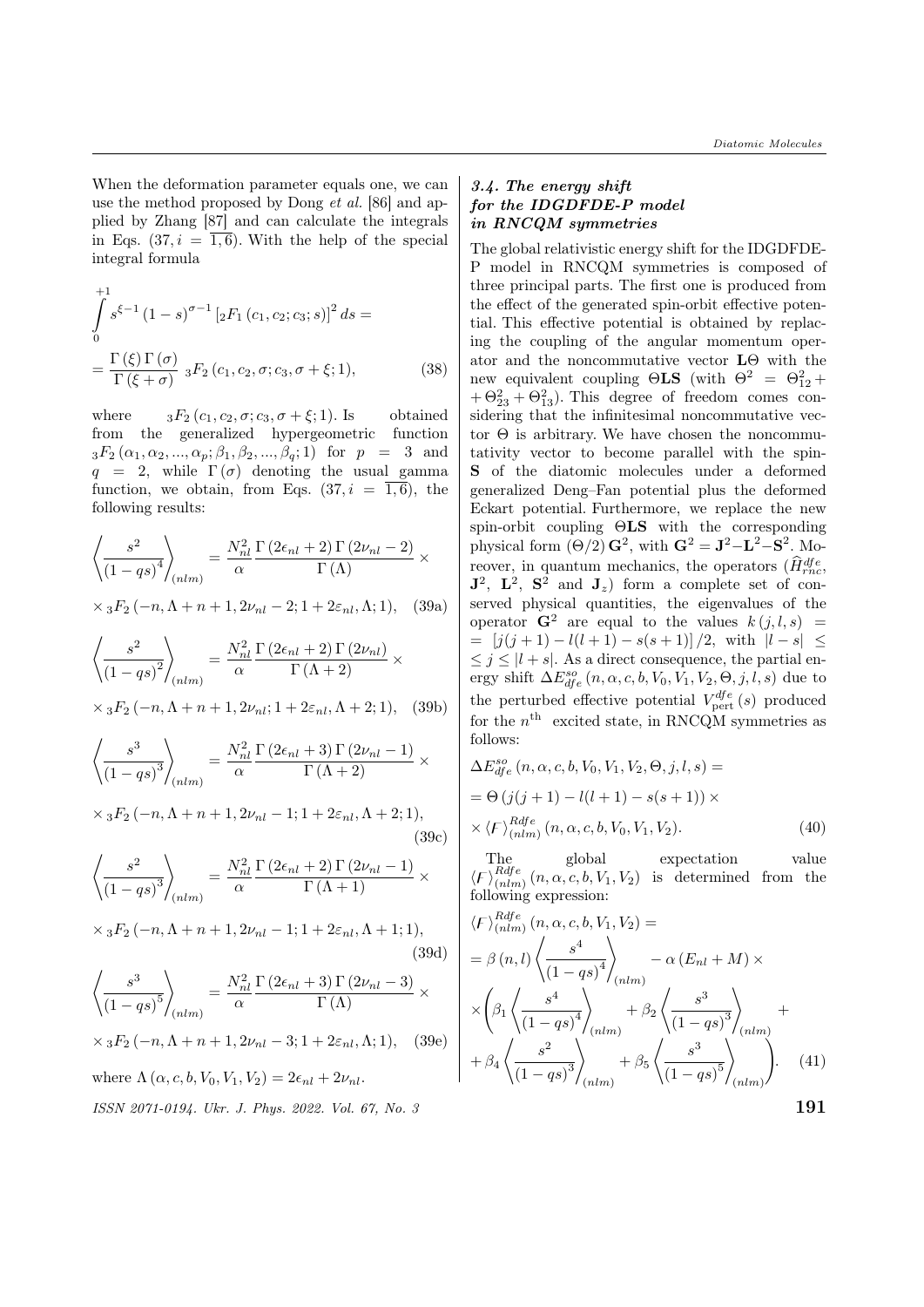When the deformation parameter equals one, we can use the method proposed by Dong *et al.* [86] and applied by Zhang [87] and can calculate the integrals in Eqs.  $(37, i = \overline{1, 6})$ . With the help of the special integral formula

$$
\int_{0}^{+1} s^{\xi-1} (1-s)^{\sigma-1} [{}_2F_1(c_1, c_2; c_3; s)]^2 ds =
$$
  
= 
$$
\frac{\Gamma(\xi) \Gamma(\sigma)}{\Gamma(\xi + \sigma)} {}_3F_2(c_1, c_2, \sigma; c_3, \sigma + \xi; 1),
$$
 (38)

where  ${}_3F_2(c_1, c_2, \sigma; c_3, \sigma + \xi; 1)$ . Is obtained from the generalized hypergeometric function  ${}_{3}F_{2}(\alpha_{1}, \alpha_{2}, ..., \alpha_{n}; \beta_{1}, \beta_{2}, ..., \beta_{n}; 1)$  for  $p = 3$  and  $q = 2$ , while  $\Gamma(\sigma)$  denoting the usual gamma function, we obtain, from Eqs.  $(37, i = \overline{1, 6})$ , the following results:

$$
\left\langle \frac{s^2}{(1 - qs)^4} \right\rangle_{(nlm)} = \frac{N_{nl}^2}{\alpha} \frac{\Gamma(2\epsilon_{nl} + 2) \Gamma(2\nu_{nl} - 2)}{\Gamma(\Lambda)} \times
$$

$$
\times {}_{3}F_2(-n, \Lambda+n+1, 2\nu_{nl}-2; 1+2\varepsilon_{nl}, \Lambda; 1), \quad (39a)
$$

$$
\left\langle \frac{s^2}{(1 - qs)^2} \right\rangle_{(nlm)} = \frac{N_{nl}^2}{\alpha} \frac{\Gamma(2\epsilon_{nl} + 2) \Gamma(2\nu_{nl})}{\Gamma(\Lambda + 2)} \times
$$

 $\times {}_{3}F_{2}(-n, \Lambda+n+1, 2\nu_{nl}; 1+2\varepsilon_{nl}, \Lambda+2; 1),$  (39b)

$$
\left\langle \frac{s^3}{(1-qs)^3} \right\rangle_{(nlm)} = \frac{N_{nl}^2}{\alpha} \frac{\Gamma(2\epsilon_{nl}+3)\Gamma(2\nu_{nl}-1)}{\Gamma(\Lambda+2)} \times
$$
  
 
$$
\times {}_3F_2(-n,\Lambda+n+1,2\nu_{nl}-1;1+2\varepsilon_{nl},\Lambda+2;1),
$$
  
 (39c)  
 
$$
\left\langle \frac{s^2}{(1-qs)^3} \right\rangle_{(nlm)} = \frac{N_{nl}^2}{\alpha} \frac{\Gamma(2\epsilon_{nl}+2)\Gamma(2\nu_{nl}-1)}{\Gamma(\Lambda+1)} \times
$$
  
 
$$
\times {}_3F_2(-n,\Lambda+n+1,2\nu_{nl}-1;1+2\varepsilon_{nl},\Lambda+1;1),
$$
  
 (39d)

$$
\left\langle \frac{s^3}{(1 - qs)^5} \right\rangle_{(nlm)} = \frac{N_{nl}^2}{\alpha} \frac{\Gamma(2\epsilon_{nl} + 3) \Gamma(2\nu_{nl} - 3)}{\Gamma(\Lambda)} \times
$$
  
×  ${}_{3}F_2(-n, \Lambda + n + 1, 2\nu_{nl} - 3; 1 + 2\varepsilon_{nl}, \Lambda; 1),$  (39e)

where  $\Lambda(\alpha, c, b, V_0, V_1, V_2) = 2\epsilon_{nl} + 2\nu_{nl}$ .

 $\sum_{i=1}^{N}$  1971-0194. Ukr. J. Phys. 2022. Vol. 67, No. 3

### 3.4. The energy shift for the IDGDFDE-P model in RNCQM symmetries

The global relativistic energy shift for the IDGDFDE-P model in RNCQM symmetries is composed of three principal parts. The first one is produced from the effect of the generated spin-orbit effective potential. This effective potential is obtained by replacing the coupling of the angular momentum operator and the noncommutative vector LΘ with the new equivalent coupling  $\Theta$ **LS** (with  $\Theta^2 = \Theta_{12}^2 +$  $+ \Theta_{23}^2 + \Theta_{13}^2$ ). This degree of freedom comes considering that the infinitesimal noncommutative vector  $\Theta$  is arbitrary. We have chosen the noncommutativity vector to become parallel with the spin-S of the diatomic molecules under a deformed generalized Deng–Fan potential plus the deformed Eckart potential. Furthermore, we replace the new spin-orbit coupling ΘLS with the corresponding physical form  $(\Theta/2)$   $\mathbf{G}^2$ , with  $\mathbf{G}^2 = \mathbf{J}^2 - \mathbf{L}^2 - \mathbf{S}^2$ . Moreover, in quantum mechanics, the operators  $(\hat{H}_{rnc}^{dfe})$  $J^2$ ,  $L^2$ ,  $S^2$  and  $J_z$ ) form a complete set of conserved physical quantities, the eigenvalues of the operator  $G^2$  are equal to the values  $k(i, l, s)$  $=$   $[j(j+1) - l(l+1) - s(s+1)]/2$ , with  $|l-s| \leq$  $\leq j \leq |l + s|$ . As a direct consequence, the partial energy shift  $\Delta E_{dfe}^{so}(n, \alpha, c, b, V_0, V_1, V_2, \Theta, j, l, s)$  due to the perturbed effective potential  $V_{\text{pert}}^{dfe}(s)$  produced for the  $n^{\text{th}}$  excited state, in RNCQM symmetries as follows:

$$
\Delta E_{dfe}^{so} (n, \alpha, c, b, V_0, V_1, V_2, \Theta, j, l, s) =
$$
  
=  $\Theta(j(j+1) - l(l+1) - s(s+1)) \times$   
 $\times \langle F \rangle_{(nlm)}^{Rdfe} (n, \alpha, c, b, V_0, V_1, V_2).$  (40)

The global expectation value  $\langle F \rangle_{(nlm}^{Rdfe}$  $\binom{Kage}{(nlm)}$   $(n, \alpha, c, b, V_1, V_2)$  is determined from the following expression:

$$
\langle F \rangle_{(nlm)}^{Rdfe} (n, \alpha, c, b, V_1, V_2) =
$$
\n
$$
= \beta(n, l) \left\langle \frac{s^4}{(1 - qs)^4} \right\rangle_{(nlm)} - \alpha (E_{nl} + M) \times
$$
\n
$$
\times \left( \beta_1 \left\langle \frac{s^4}{(1 - qs)^4} \right\rangle_{(nlm)} + \beta_2 \left\langle \frac{s^3}{(1 - qs)^3} \right\rangle_{(nlm)} + \beta_4 \left\langle \frac{s^2}{(1 - qs)^3} \right\rangle_{(nlm)} + \beta_5 \left\langle \frac{s^3}{(1 - qs)^5} \right\rangle_{(nlm)} \right).
$$
\n(41)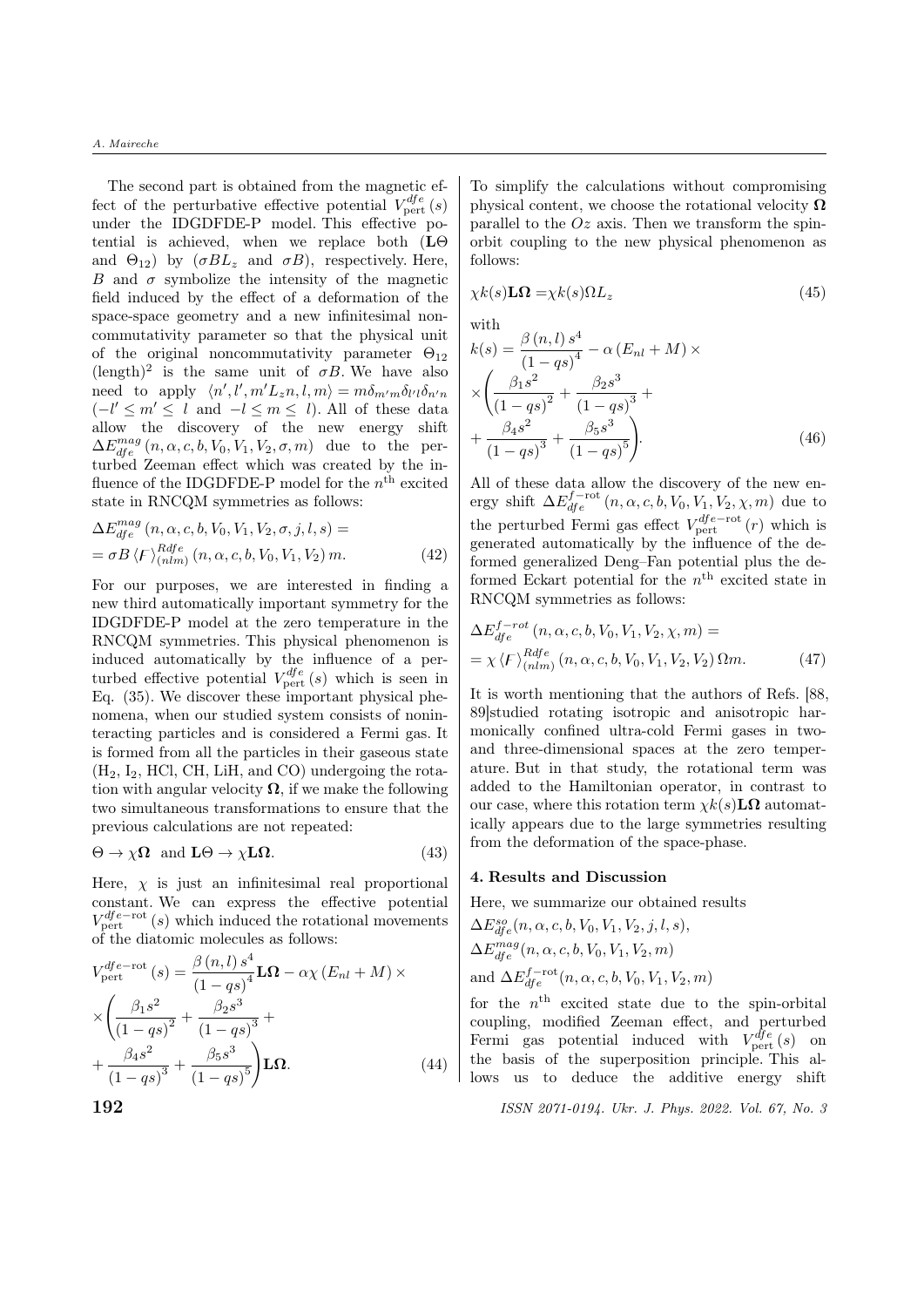The second part is obtained from the magnetic effect of the perturbative effective potential  $V_{\text{pert}}^{dfe}(s)$ under the IDGDFDE-P model. This effective potential is achieved, when we replace both (LΘ and  $\Theta_{12}$ ) by  $(\sigma BL_z \text{ and } \sigma B)$ , respectively. Here, B and  $\sigma$  symbolize the intensity of the magnetic field induced by the effect of a deformation of the space-space geometry and a new infinitesimal noncommutativity parameter so that the physical unit of the original noncommutativity parameter  $\Theta_{12}$  $(\text{length})^2$  is the same unit of  $\sigma B$ . We have also need to apply  $\langle n', l', m' L_z n, l, m \rangle = m \delta_{m'm} \delta_{l'l} \delta_{n'n}$  $(-l' \leq m' \leq l$  and  $-l \leq m \leq l$ ). All of these data allow the discovery of the new energy shift  $\Delta E_{dfe}^{mag}(n, \alpha, c, b, V_0, V_1, V_2, \sigma, m)$  due to the perturbed Zeeman effect which was created by the influence of the IDGDFDE-P model for the  $n<sup>th</sup>$  excited state in RNCQM symmetries as follows:

$$
\Delta E_{dfe}^{mag} (n, \alpha, c, b, V_0, V_1, V_2, \sigma, j, l, s) =
$$
  
=  $\sigma B \langle F \rangle_{(nlm)}^{Rdfe} (n, \alpha, c, b, V_0, V_1, V_2) m.$  (42)

For our purposes, we are interested in finding a new third automatically important symmetry for the IDGDFDE-P model at the zero temperature in the RNCQM symmetries. This physical phenomenon is induced automatically by the influence of a perturbed effective potential  $V_{\text{pert}}^{dfe}(s)$  which is seen in Eq. (35). We discover these important physical phenomena, when our studied system consists of noninteracting particles and is considered a Fermi gas. It is formed from all the particles in their gaseous state (H2, I2, HCl, CH, LiH, and CO) undergoing the rotation with angular velocity  $\Omega$ , if we make the following two simultaneous transformations to ensure that the previous calculations are not repeated:

$$
\Theta \to \chi \Omega \text{ and } \mathbf{L}\Theta \to \chi \mathbf{L}\Omega. \tag{43}
$$

Here,  $\chi$  is just an infinitesimal real proportional constant. We can express the effective potential  $V_{\text{pert}}^{dfe-\text{rot}}(s)$  which induced the rotational movements of the diatomic molecules as follows:

$$
V_{\text{pert}}^{dfe - \text{rot}}(s) = \frac{\beta (n, l) s^4}{(1 - qs)^4} \mathbf{L}\Omega - \alpha \chi (E_{nl} + M) \times
$$
  
 
$$
\times \left( \frac{\beta_1 s^2}{(1 - qs)^2} + \frac{\beta_2 s^3}{(1 - qs)^3} + \frac{\beta_4 s^2}{(1 - qs)^3} + \frac{\beta_5 s^3}{(1 - qs)^5} \right) \mathbf{L}\Omega.
$$
 (44)

To simplify the calculations without compromising physical content, we choose the rotational velocity  $\Omega$ parallel to the  $Oz$  axis. Then we transform the spinorbit coupling to the new physical phenomenon as follows:

$$
\chi k(s) \mathbf{L}\Omega = \chi k(s) \Omega L_z \tag{45}
$$

with  
\n
$$
k(s) = \frac{\beta (n, l) s^4}{(1 - qs)^4} - \alpha (E_{nl} + M) \times
$$
\n
$$
\times \left( \frac{\beta_1 s^2}{(1 - qs)^2} + \frac{\beta_2 s^3}{(1 - qs)^3} + \frac{\beta_4 s^2}{(1 - qs)^3} + \frac{\beta_5 s^3}{(1 - qs)^5} \right).
$$
\n(46)

All of these data allow the discovery of the new energy shift  $\Delta E_{dfe}^{f-{\rm rot}}(n, \alpha, c, b, V_0, V_1, V_2, \chi, m)$  due to the perturbed Fermi gas effect  $V_{\text{pert}}^{dfe-{\text{rot}}}(r)$  which is generated automatically by the influence of the deformed generalized Deng–Fan potential plus the deformed Eckart potential for the  $n<sup>th</sup>$  excited state in RNCQM symmetries as follows:

$$
\Delta E_{dfe}^{f-rot} (n, \alpha, c, b, V_0, V_1, V_2, \chi, m) =
$$
  
=  $\chi \langle F \rangle_{(nlm)}^{Rdfe} (n, \alpha, c, b, V_0, V_1, V_2, V_2) \Omega m.$  (47)

It is worth mentioning that the authors of Refs. [88, 89]studied rotating isotropic and anisotropic harmonically confined ultra-cold Fermi gases in twoand three-dimensional spaces at the zero temperature. But in that study, the rotational term was added to the Hamiltonian operator, in contrast to our case, where this rotation term  $\chi k(s) \mathbf{L}\Omega$  automatically appears due to the large symmetries resulting from the deformation of the space-phase.

#### 4. Results and Discussion

Here, we summarize our obtained results

$$
\Delta E_{dfe}^{so}(n, \alpha, c, b, V_0, V_1, V_2, j, l, s),
$$
  
\n
$$
\Delta E_{dfe}^{mag}(n, \alpha, c, b, V_0, V_1, V_2, m)
$$
  
\nand 
$$
\Delta E_{dfe}^{f-\text{rot}}(n, \alpha, c, b, V_0, V_1, V_2, m)
$$

for the  $n<sup>th</sup>$  excited state due to the spin-orbital coupling, modified Zeeman effect, and perturbed Fermi gas potential induced with  $V_{\text{pert}}^{dfe}(s)$  on the basis of the superposition principle. This allows us to deduce the additive energy shift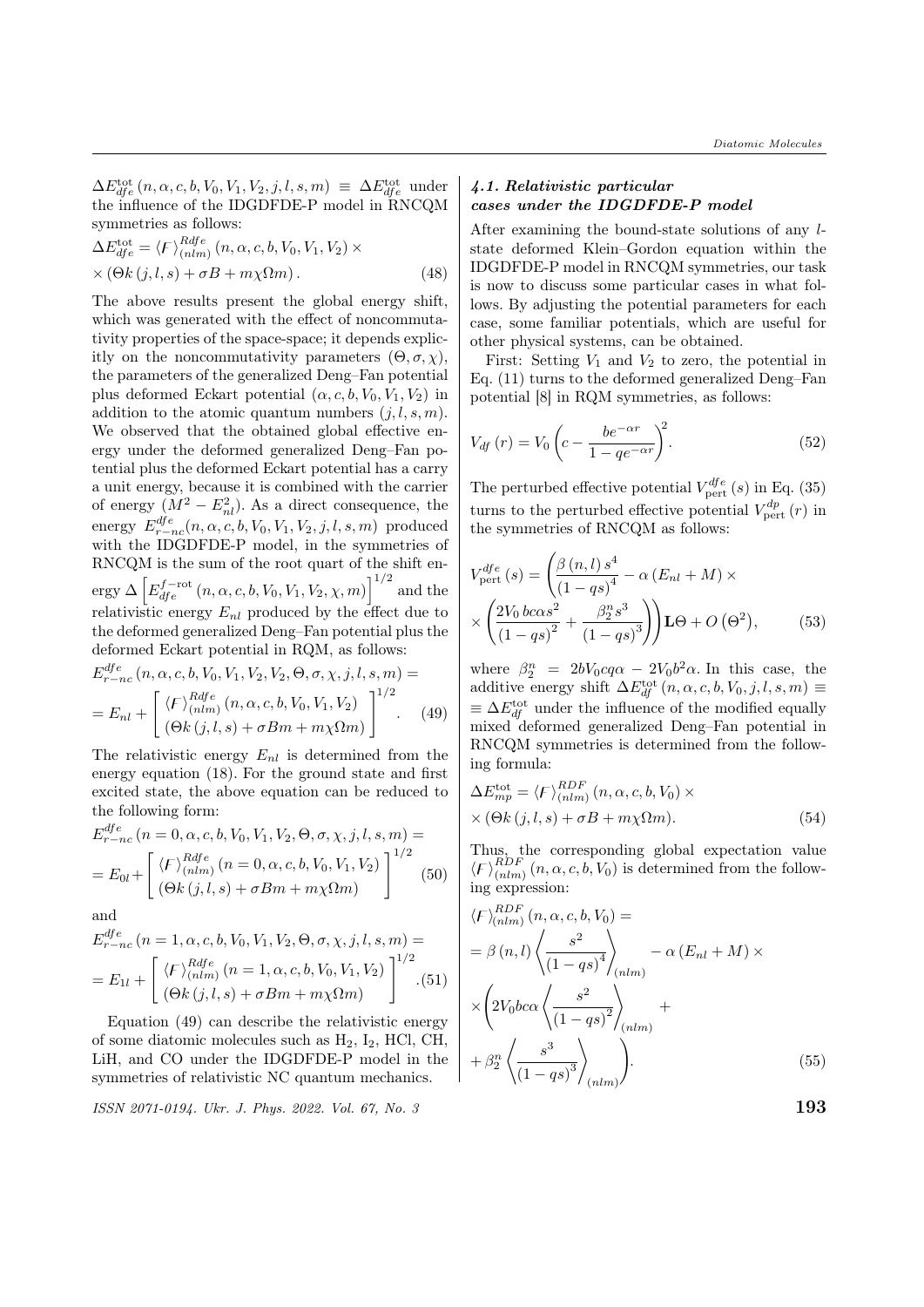$\Delta E_{dfe}^{\text{tot}}(n, \alpha, c, b, V_0, V_1, V_2, j, l, s, m) \equiv \Delta E_{dfe}^{\text{tot}}$  under the influence of the IDGDFDE-P model in RNCQM symmetries as follows:

$$
\Delta E_{dfe}^{\text{tot}} = \langle F \rangle_{(nlm)}^{Rdfe} (n, \alpha, c, b, V_0, V_1, V_2) \times
$$
  
× 
$$
(\Theta k (j, l, s) + \sigma B + m \chi \Omega m).
$$
 (48)

The above results present the global energy shift, which was generated with the effect of noncommutativity properties of the space-space; it depends explicitly on the noncommutativity parameters  $(\Theta, \sigma, \chi)$ , the parameters of the generalized Deng–Fan potential plus deformed Eckart potential  $(\alpha, c, b, V_0, V_1, V_2)$  in addition to the atomic quantum numbers  $(j, l, s, m)$ . We observed that the obtained global effective energy under the deformed generalized Deng–Fan potential plus the deformed Eckart potential has a carry a unit energy, because it is combined with the carrier of energy  $(M^2 - E_{nl}^2)$ . As a direct consequence, the energy  $E_{r-nc}^{dfe}(n, \alpha, c, b, V_0, V_1, V_2, j, l, s, m)$  produced with the IDGDFDE-P model, in the symmetries of RNCQM is the sum of the root quart of the shift energy  $\Delta \left[ E_{dfe}^{f-{\rm rot}}\left( n, \alpha, c, b, V_0, V_1, V_2, \chi, m \right) \right]^{1/2}$  and the relativistic energy  $E_{nl}$  produced by the effect due to the deformed generalized Deng–Fan potential plus the deformed Eckart potential in RQM, as follows:  $df$ <sub>o</sub>

$$
E_{r-nc}^{qfe} (n, \alpha, c, b, V_0, V_1, V_2, V_2, \Theta, \sigma, \chi, j, l, s, m) =
$$
  
= 
$$
E_{nl} + \left[ \begin{array}{c} \langle F \rangle_{(nlm)}^{Rdfe} (n, \alpha, c, b, V_0, V_1, V_2) \\ (\Theta k (j, l, s) + \sigma Bm + m\chi \Omega m) \end{array} \right]^{1/2} . \tag{49}
$$

The relativistic energy  $E_{nl}$  is determined from the energy equation (18). For the ground state and first excited state, the above equation can be reduced to the following form:

$$
E_{r-nc}^{dfe} (n = 0, \alpha, c, b, V_0, V_1, V_2, \Theta, \sigma, \chi, j, l, s, m) =
$$
  
= 
$$
E_{0l} + \left[ \begin{array}{c} \langle F \rangle_{(nlm)}^{Rdfe} (n = 0, \alpha, c, b, V_0, V_1, V_2) \\ (\Theta k (j, l, s) + \sigma Bm + m\chi \Omega m) \end{array} \right]^{1/2}
$$
(50)

and

$$
E_{r-nc}^{dfe} (n = 1, \alpha, c, b, V_0, V_1, V_2, \Theta, \sigma, \chi, j, l, s, m) =
$$
  
= 
$$
E_{1l} + \left[ \begin{array}{c} \langle F \rangle_{(nlm)}^{Rdfe} (n = 1, \alpha, c, b, V_0, V_1, V_2) \\ (\Theta k (j, l, s) + \sigma Bm + m\chi \Omega m) \end{array} \right]^{1/2} . (51)
$$

Equation (49) can describe the relativistic energy of some diatomic molecules such as  $H_2$ ,  $I_2$ , HCl, CH, LiH, and CO under the IDGDFDE-P model in the symmetries of relativistic NC quantum mechanics.

 $\text{ISSN } 2071-0194. \text{ Ukr. J. Phys. } 2022. \text{ Vol. } 67, \text{ No. } 3$  193

#### 4.1. Relativistic particular cases under the IDGDFDE-P model

After examining the bound-state solutions of any lstate deformed Klein–Gordon equation within the IDGDFDE-P model in RNCQM symmetries, our task is now to discuss some particular cases in what follows. By adjusting the potential parameters for each case, some familiar potentials, which are useful for other physical systems, can be obtained.

First: Setting  $V_1$  and  $V_2$  to zero, the potential in Eq. (11) turns to the deformed generalized Deng–Fan potential [8] in RQM symmetries, as follows:

$$
V_{df}(r) = V_0 \left( c - \frac{be^{-\alpha r}}{1 - q e^{-\alpha r}} \right)^2.
$$
\n
$$
(52)
$$

The perturbed effective potential  $V_{\text{pert}}^{dfe}(s)$  in Eq. (35) turns to the perturbed effective potential  $V_{\text{pert}}^{dp}(r)$  in the symmetries of RNCQM as follows:

$$
V_{\text{pert}}^{dfe}(s) = \left(\frac{\beta(n,l) s^4}{(1 - qs)^4} - \alpha \left(E_{nl} + M\right) \times \right)
$$

$$
\times \left(\frac{2V_0 b \cos^2}{(1 - qs)^2} + \frac{\beta_2^n s^3}{(1 - qs)^3}\right) \mathbf{L}\Theta + O\left(\Theta^2\right),\tag{53}
$$

where  $\beta_2^n = 2bV_0cq\alpha - 2V_0b^2\alpha$ . In this case, the additive energy shift  $\Delta E_{df}^{\text{tot}}(n, \alpha, c, b, V_0, j, l, s, m) \equiv$  $\equiv \Delta E_{df}^{\text{tot}}$  under the influence of the modified equally mixed deformed generalized Deng–Fan potential in RNCQM symmetries is determined from the following formula:

$$
\Delta E_{mp}^{\text{tot}} = \langle F \rangle_{(nlm)}^{RDF} (n, \alpha, c, b, V_0) \times
$$
  
 
$$
\times (\Theta k (j, l, s) + \sigma B + m \chi \Omega m). \tag{54}
$$

Thus, the corresponding global expectation value  $\langle F \rangle_{(nlm)}^{RDF}(n, \alpha, c, b, V_0)$  is determined from the following expression:

$$
\langle F \rangle_{(nlm)}^{RDF} (n, \alpha, c, b, V_0) =
$$
  
=  $\beta(n, l) \left\langle \frac{s^2}{(1 - qs)^4} \right\rangle_{(nlm)} - \alpha (E_{nl} + M) \times$   
 $\times \left( 2V_0 b c \alpha \left\langle \frac{s^2}{(1 - qs)^2} \right\rangle_{(nlm)} +$   
 $+ \beta_2^n \left\langle \frac{s^3}{(1 - qs)^3} \right\rangle_{(nlm)} \right).$  (55)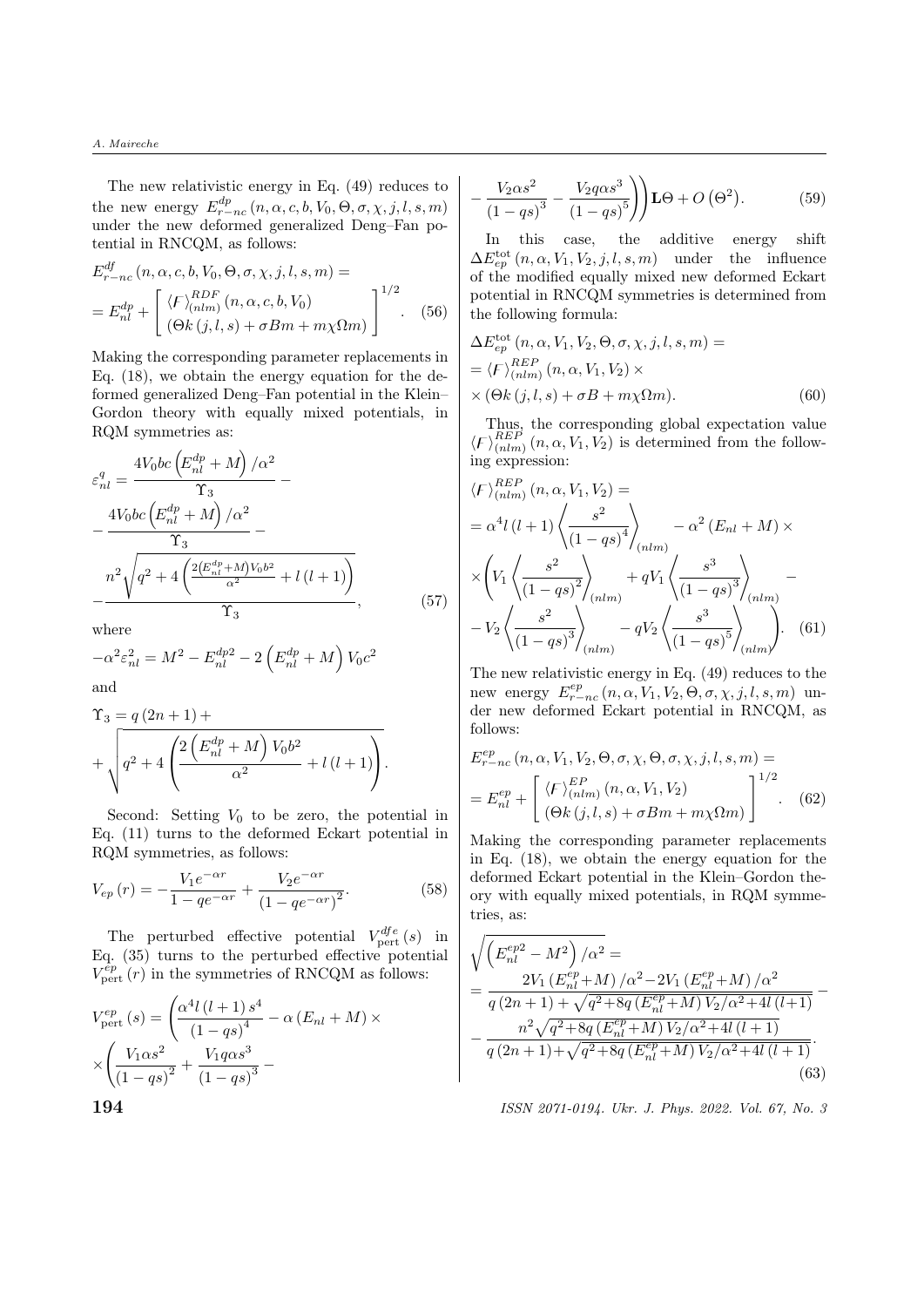The new relativistic energy in Eq. (49) reduces to the new energy  $E^{dp}_{r-nc}(n, \alpha, c, b, V_0, \Theta, \sigma, \chi, j, l, s, m)$ under the new deformed generalized Deng–Fan potential in RNCQM, as follows:

$$
E_{r-nc}^{df}(n, \alpha, c, b, V_0, \Theta, \sigma, \chi, j, l, s, m) =
$$
  
= 
$$
E_{nl}^{dp} + \left[ \begin{array}{l} \langle F \rangle_{(nlm)}^{RDF}(n, \alpha, c, b, V_0) \\ (\Theta k(j, l, s) + \sigma Bm + m\chi \Omega m) \end{array} \right]^{1/2}.
$$
 (56)

Making the corresponding parameter replacements in Eq. (18), we obtain the energy equation for the deformed generalized Deng–Fan potential in the Klein– Gordon theory with equally mixed potentials, in RQM symmetries as:

$$
\varepsilon_{nl}^{q} = \frac{4V_0 bc \left(E_{nl}^{dp} + M\right) / \alpha^2}{\Upsilon_3} - \frac{4V_0 bc \left(E_{nl}^{dp} + M\right) / \alpha^2}{\Upsilon_3} - \frac{n^2 \sqrt{q^2 + 4\left(\frac{2\left(E_{nl}^{dp} + M\right) V_0 b^2}{\alpha^2} + l\left(l+1\right)\right)}}{\Upsilon_3}, \qquad (57)
$$

where

$$
-\alpha^2 \varepsilon_{nl}^2 = M^2 - E_{nl}^{dp2} - 2 \left( E_{nl}^{dp} + M \right) V_0 c^2
$$
 and

and

$$
\Upsilon_3 = q (2n + 1) +
$$
  
+ 
$$
\sqrt{q^2 + 4 \left( \frac{2 \left( E_{nl}^{dp} + M \right) V_0 b^2}{\alpha^2} + l (l + 1) \right)}.
$$

Second: Setting  $V_0$  to be zero, the potential in Eq. (11) turns to the deformed Eckart potential in RQM symmetries, as follows:

$$
V_{ep}(r) = -\frac{V_1 e^{-\alpha r}}{1 - q e^{-\alpha r}} + \frac{V_2 e^{-\alpha r}}{(1 - q e^{-\alpha r})^2}.
$$
 (58)

The perturbed effective potential  $V_{\text{pert}}^{dfe}(s)$  in Eq. (35) turns to the perturbed effective potential  $V_{\text{pert}}^{ep}(r)$  in the symmetries of RNCQM as follows:

$$
V_{\text{pert}}^{ep}(s) = \left(\frac{\alpha^4 l (l+1) s^4}{(1 - qs)^4} - \alpha (E_{nl} + M) \times \right)
$$

$$
\times \left(\frac{V_1 \alpha s^2}{(1 - qs)^2} + \frac{V_1 q \alpha s^3}{(1 - qs)^3} - \right)
$$

$$
-\frac{V_2 \alpha s^2}{\left(1-qs\right)^3} - \frac{V_2 q \alpha s^3}{\left(1-qs\right)^5} \bigg) \mathbf{L} \Theta + O\left(\Theta^2\right). \tag{59}
$$

In this case, the additive energy shift  $\Delta E_{ep}^{\text{tot}}(n, \alpha, V_1, V_2, j, l, s, m)$  under the influence of the modified equally mixed new deformed Eckart potential in RNCQM symmetries is determined from the following formula:

$$
\Delta E_{ep}^{\text{tot}}(n, \alpha, V_1, V_2, \Theta, \sigma, \chi, j, l, s, m) =
$$
  
=  $\langle F \rangle_{(nlm)}^{REP}(n, \alpha, V_1, V_2) \times$   
 $\times (\Theta k(j, l, s) + \sigma B + m \chi \Omega m).$  (60)

Thus, the corresponding global expectation value  $\langle F \rangle_{(nlm)}^{REF}(n, \alpha, V_1, V_2)$  is determined from the following expression:

$$
\langle F \rangle_{(nlm)}^{REF} (n, \alpha, V_1, V_2) =
$$
\n
$$
= \alpha^4 l (l+1) \left\langle \frac{s^2}{(1 - qs)^4} \right\rangle_{(nlm)} - \alpha^2 (E_{nl} + M) \times
$$
\n
$$
\times \left( V_1 \left\langle \frac{s^2}{(1 - qs)^2} \right\rangle_{(nlm)} + qV_1 \left\langle \frac{s^3}{(1 - qs)^3} \right\rangle_{(nlm)} - V_2 \left\langle \frac{s^2}{(1 - qs)^3} \right\rangle_{(nlm)} - qV_2 \left\langle \frac{s^3}{(1 - qs)^5} \right\rangle_{(nlm)} \right). \tag{61}
$$

The new relativistic energy in Eq. (49) reduces to the new energy  $E^{ep}_{r-nc}(n, \alpha, V_1, V_2, \Theta, \sigma, \chi, j, l, s, m)$  under new deformed Eckart potential in RNCQM, as follows:

$$
E_{r-nc}^{ep}(n, \alpha, V_1, V_2, \Theta, \sigma, \chi, \Theta, \sigma, \chi, j, l, s, m) =
$$
  
= 
$$
E_{nl}^{ep} + \left[ \begin{array}{c} \langle F \rangle_{(nlm)}^{EP}(n, \alpha, V_1, V_2) \\ (\Theta k (j, l, s) + \sigma Bm + m\chi \Omega m) \end{array} \right]^{1/2}.
$$
 (62)

Making the corresponding parameter replacements in Eq. (18), we obtain the energy equation for the deformed Eckart potential in the Klein–Gordon theory with equally mixed potentials, in RQM symmetries, as:

$$
\sqrt{\left(E_{nl}^{ep2} - M^2\right)/\alpha^2} =
$$
\n
$$
= \frac{2V_1 \left(E_{nl}^{ep} + M\right)/\alpha^2 - 2V_1 \left(E_{nl}^{ep} + M\right)/\alpha^2}{q \left(2n + 1\right) + \sqrt{q^2 + 8q \left(E_{nl}^{ep} + M\right)V_2/\alpha^2 + 4l \left(l + 1\right)}} -
$$
\n
$$
- \frac{n^2 \sqrt{q^2 + 8q \left(E_{nl}^{ep} + M\right)V_2/\alpha^2 + 4l \left(l + 1\right)}}{q \left(2n + 1\right) + \sqrt{q^2 + 8q \left(E_{nl}^{ep} + M\right)V_2/\alpha^2 + 4l \left(l + 1\right)}}.
$$
\n(63)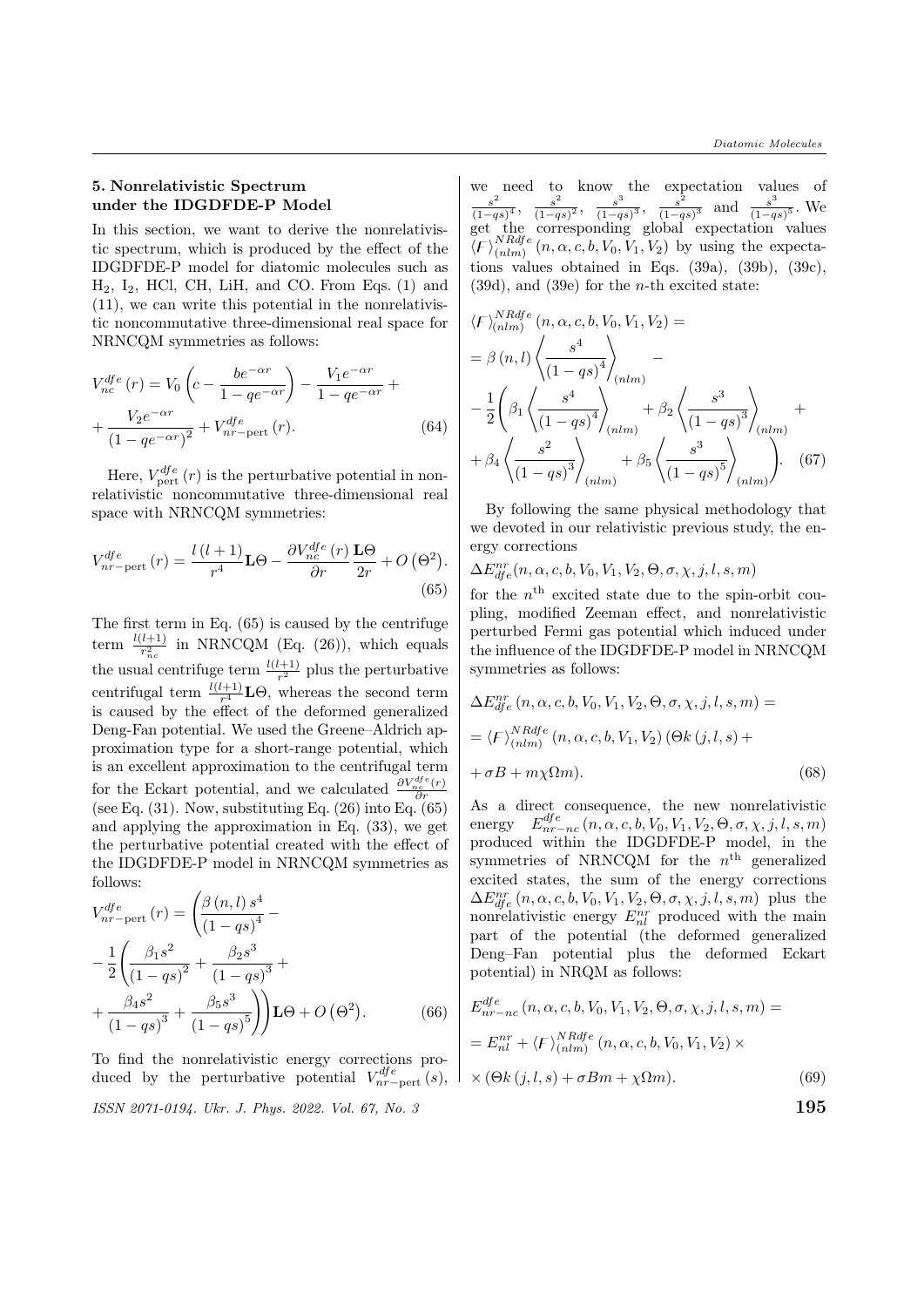#### 5. Nonrelativistic Spectrum under the IDGDFDE-P Model

In this section, we want to derive the nonrelativistic spectrum, which is produced by the effect of the IDGDFDE-P model for diatomic molecules such as  $H_2$ ,  $I_2$ , HCl, CH, LiH, and CO. From Eqs. (1) and (11), we can write this potential in the nonrelativistic noncommutative three-dimensional real space for NRNCQM symmetries as follows:

$$
V_{nc}^{dfe}(r) = V_0 \left( c - \frac{be^{-\alpha r}}{1 - q e^{-\alpha r}} \right) - \frac{V_1 e^{-\alpha r}}{1 - q e^{-\alpha r}} +
$$

$$
+ \frac{V_2 e^{-\alpha r}}{(1 - q e^{-\alpha r})^2} + V_{nr-pert}^{dfe}(r).
$$
(64)

Here,  $V_{\text{pert}}^{dfe}(r)$  is the perturbative potential in nonrelativistic noncommutative three-dimensional real space with NRNCQM symmetries:

$$
V_{nr-\text{pert}}^{dfe}(r) = \frac{l(l+1)}{r^4} \mathbf{L}\Theta - \frac{\partial V_{nc}^{dfe}(r)}{\partial r} \frac{\mathbf{L}\Theta}{2r} + O\left(\Theta^2\right).
$$
\n(65)

The first term in Eq. (65) is caused by the centrifuge term  $\frac{l(l+1)}{r_{nc}^2}$  in NRNCQM (Eq. (26)), which equals the usual centrifuge term  $\frac{l(l+1)}{r^2}$  plus the perturbative centrifugal term  $\frac{l(l+1)}{r^4} \mathbf{L}\Theta$ , whereas the second term is caused by the effect of the deformed generalized Deng-Fan potential. We used the Greene–Aldrich approximation type for a short-range potential, which is an excellent approximation to the centrifugal term for the Eckart potential, and we calculated  $\frac{\partial V_{nc}^{dfe}(r)}{\partial r}$ (see Eq.  $(31)$ . Now, substituting Eq.  $(26)$  into Eq.  $(65)$ and applying the approximation in Eq. (33), we get the perturbative potential created with the effect of the IDGDFDE-P model in NRNCQM symmetries as follows:

$$
V_{nr-\text{pert}}^{dfe} (r) = \left(\frac{\beta (n, l) s^4}{(1 - qs)^4} - \frac{1}{2} \left(\frac{\beta_1 s^2}{(1 - qs)^2} + \frac{\beta_2 s^3}{(1 - qs)^3} + \frac{\beta_4 s^2}{(1 - qs)^3} + \frac{\beta_5 s^3}{(1 - qs)^5}\right)\right) \mathbf{L}\Theta + O\left(\Theta^2\right).
$$
 (66)

To find the nonrelativistic energy corrections produced by the perturbative potential  $V_{nr-pert}^{dfe}(s)$ ,

ISSN 2071-0194. Ukr. J. Phys. 2022. Vol. 67, No. 3  $195$ 

we need to know the expectation values of  $s^2$  $\frac{s^2}{(1-qs)^4}, \frac{s^2}{(1-q)}$  $\frac{s^2}{(1-qs)^2}, \frac{s^3}{(1-q)}$  $\frac{s^3}{(1-qs)^3}, \frac{s^2}{(1-q)}$  $\frac{s^2}{(1-qs)^3}$  and  $\frac{s^3}{(1-qs)^3}$  $\frac{s^{\circ}}{(1-qs)^5}$ . We get the corresponding global expectation values  $\langle F \rangle_{(nlm)}^{NRdfe}$  $\binom{N}{n}$  (n,  $\alpha$ , c, b,  $V_0$ ,  $V_1$ ,  $V_2$ ) by using the expectations values obtained in Eqs. (39a), (39b), (39c),  $(39d)$ , and  $(39e)$  for the *n*-th excited state:

$$
\langle F \rangle_{(nlm)}^{NRdfe} (n, \alpha, c, b, V_0, V_1, V_2) =
$$
  
=  $\beta (n, l) \left\langle \frac{s^4}{(1 - qs)^4} \right\rangle_{(nlm)} -$   
 $- \frac{1}{2} \left( \beta_1 \left\langle \frac{s^4}{(1 - qs)^4} \right\rangle_{(nlm)} + \beta_2 \left\langle \frac{s^3}{(1 - qs)^3} \right\rangle_{(nlm)} +$   
 $+ \beta_4 \left\langle \frac{s^2}{(1 - qs)^3} \right\rangle_{(nlm)} + \beta_5 \left\langle \frac{s^3}{(1 - qs)^5} \right\rangle_{(nlm)} \right).$  (67)

By following the same physical methodology that we devoted in our relativistic previous study, the energy corrections

 $\Delta E_{dfe}^{nr}(n, \alpha, c, b, V_0, V_1, V_2, \Theta, \sigma, \chi, j, l, s, m)$ 

for the  $n<sup>th</sup>$  excited state due to the spin-orbit coupling, modified Zeeman effect, and nonrelativistic perturbed Fermi gas potential which induced under the influence of the IDGDFDE-P model in NRNCQM symmetries as follows:

$$
\Delta E_{dfe}^{nr} (n, \alpha, c, b, V_0, V_1, V_2, \Theta, \sigma, \chi, j, l, s, m) =
$$
  
=  $\langle F \rangle_{(nlm)}^{NRdfe} (n, \alpha, c, b, V_1, V_2) (\Theta k (j, l, s) +$   
+  $\sigma B + m \chi \Omega m).$  (68)

As a direct consequence, the new nonrelativistic energy  $E_{nr-nc}^{dfe}(n, \alpha, c, b, V_0, V_1, V_2, \Theta, \sigma, \chi, j, l, s, m)$ produced within the IDGDFDE-P model, in the symmetries of NRNCQM for the  $n<sup>th</sup>$  generalized excited states, the sum of the energy corrections  $\Delta E_{dfe}^{nr}$   $(n, \alpha, c, b, V_0, V_1, V_2, \Theta, \sigma, \chi, j, l, s, m)$  plus the nonrelativistic energy  $E_{nl}^{nr}$  produced with the main part of the potential (the deformed generalized Deng–Fan potential plus the deformed Eckart potential) in NRQM as follows:

$$
E_{nr-nc}^{dfe}(n, \alpha, c, b, V_0, V_1, V_2, \Theta, \sigma, \chi, j, l, s, m) =
$$
  
= 
$$
E_{nl}^{nr} + \langle F \rangle_{(nlm)}^{NRdfe}(n, \alpha, c, b, V_0, V_1, V_2) \times
$$
  

$$
\times (\Theta k(j, l, s) + \sigma Bm + \chi \Omega m).
$$
 (69)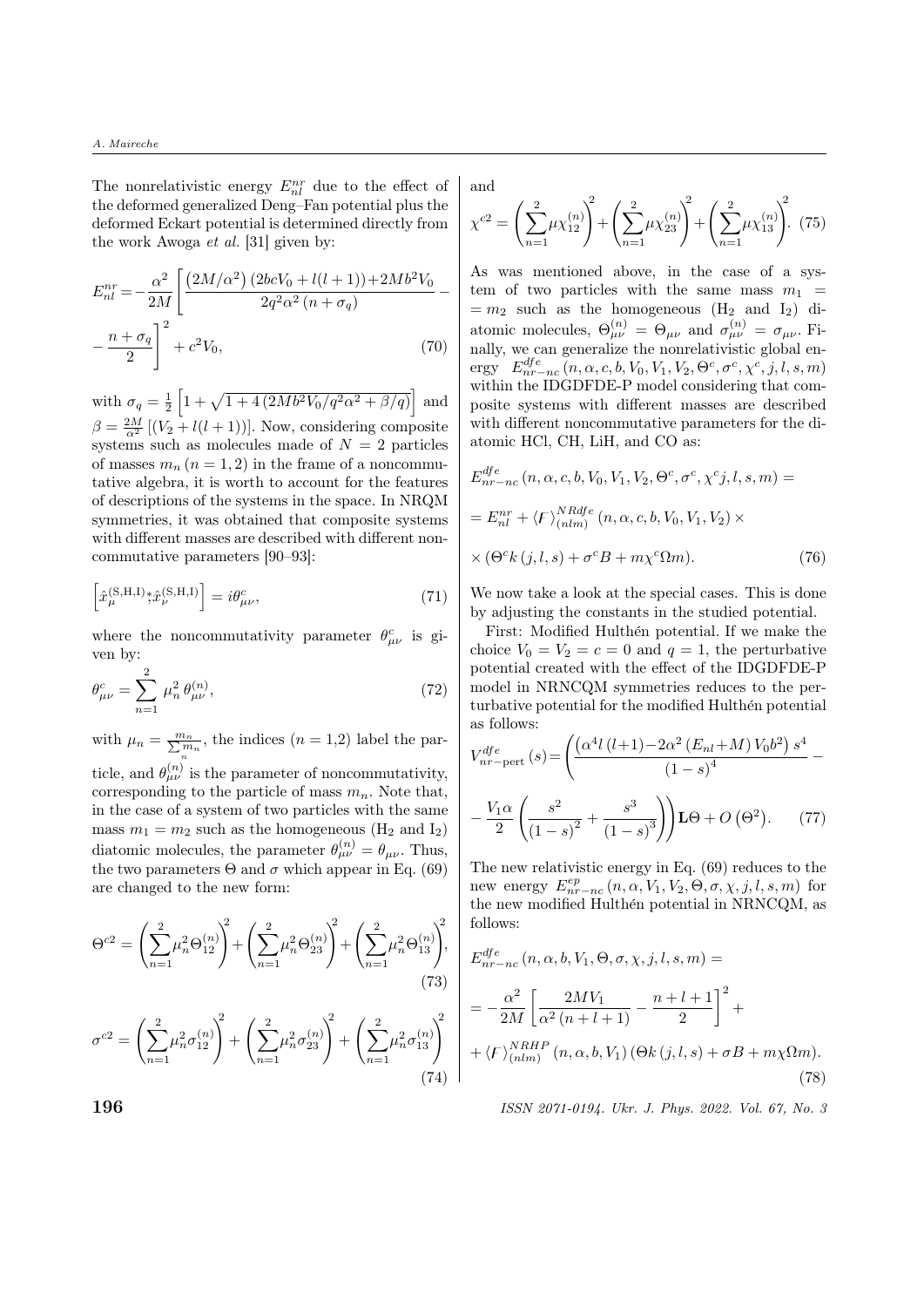The nonrelativistic energy  $E_{nl}^{nr}$  due to the effect of the deformed generalized Deng–Fan potential plus the deformed Eckart potential is determined directly from the work Awoga et al. [31] given by:

$$
E_{nl}^{nr} = -\frac{\alpha^2}{2M} \left[ \frac{(2M/\alpha^2) (2bcV_0 + l(l+1)) + 2Mb^2V_0}{2q^2\alpha^2 (n + \sigma_q)} - \frac{n + \sigma_q}{2} \right]^2 + c^2V_0,
$$
\n(70)

with  $\sigma_q = \frac{1}{2} \left[ 1 + \sqrt{1 + 4(2Mb^2V_0/q^2\alpha^2 + \beta/q)} \right]$  and  $\beta = \frac{2M}{\alpha^2} [(V_2 + l(l+1))]$ . Now, considering composite systems such as molecules made of  $N = 2$  particles of masses  $m_n (n = 1, 2)$  in the frame of a noncommutative algebra, it is worth to account for the features of descriptions of the systems in the space. In NRQM symmetries, it was obtained that composite systems with different masses are described with different noncommutative parameters [90–93]:

$$
\left[\hat{x}_{\mu}^{(\mathbf{S},\mathbf{H},\mathbf{I})};\hat{x}_{\nu}^{(\mathbf{S},\mathbf{H},\mathbf{I})}\right]=i\theta_{\mu\nu}^{c},\tag{71}
$$

where the noncommutativity parameter  $\theta_{\mu\nu}^c$  is given by:

$$
\theta_{\mu\nu}^{c} = \sum_{n=1}^{2} \mu_n^2 \,\theta_{\mu\nu}^{(n)},\tag{72}
$$

with  $\mu_n = \frac{m_n}{\sum_{n=1}^{n} m_n}$ , the indices  $(n = 1,2)$  label the particle, and  $\theta_{\mu\nu}^{(n)}$  is the parameter of noncommutativity, corresponding to the particle of mass  $m_n$ . Note that, in the case of a system of two particles with the same mass  $m_1 = m_2$  such as the homogeneous (H<sub>2</sub> and I<sub>2</sub>) diatomic molecules, the parameter  $\theta_{\mu\nu}^{(n)} = \theta_{\mu\nu}$ . Thus, the two parameters  $\Theta$  and  $\sigma$  which appear in Eq. (69) are changed to the new form:

$$
\Theta^{c2} = \left(\sum_{n=1}^{2} \mu_n^2 \Theta_{12}^{(n)}\right)^2 + \left(\sum_{n=1}^{2} \mu_n^2 \Theta_{23}^{(n)}\right)^2 + \left(\sum_{n=1}^{2} \mu_n^2 \Theta_{13}^{(n)}\right)^2,
$$
\n
$$
\sigma^{c2} = \left(\sum_{n=1}^{2} \mu_n^2 \sigma_{12}^{(n)}\right)^2 + \left(\sum_{n=1}^{2} \mu_n^2 \sigma_{23}^{(n)}\right)^2 + \left(\sum_{n=1}^{2} \mu_n^2 \sigma_{13}^{(n)}\right)^2
$$
\n(73)

and

$$
\chi^{c2} = \left(\sum_{n=1}^{2} \mu \chi_{12}^{(n)}\right)^2 + \left(\sum_{n=1}^{2} \mu \chi_{23}^{(n)}\right)^2 + \left(\sum_{n=1}^{2} \mu \chi_{13}^{(n)}\right)^2.
$$
 (75)

As was mentioned above, in the case of a system of two particles with the same mass  $m_1$  =  $= m_2$  such as the homogeneous (H<sub>2</sub> and I<sub>2</sub>) diatomic molecules,  $\Theta_{\mu\nu}^{(n)} = \Theta_{\mu\nu}$  and  $\sigma_{\mu\nu}^{(n)} = \sigma_{\mu\nu}$ . Finally, we can generalize the nonrelativistic global energy  $E_{nr-nc}^{dfe}(n, \alpha, c, b, V_0, V_1, V_2, \Theta^c, \sigma^c, \chi^c, j, l, s, m)$ within the IDGDFDE-P model considering that composite systems with different masses are described with different noncommutative parameters for the diatomic HCl, CH, LiH, and CO as:

$$
E_{nr-nc}^{dfe}(n, \alpha, c, b, V_0, V_1, V_2, \Theta^c, \sigma^c, \chi^c j, l, s, m) =
$$
  
= 
$$
E_{nl}^{nr} + \langle F \rangle_{(nlm)}^{NRdfe}(n, \alpha, c, b, V_0, V_1, V_2) \times
$$
  

$$
\times (\Theta^c k(j, l, s) + \sigma^c B + m\chi^c \Omega m).
$$
 (76)

We now take a look at the special cases. This is done by adjusting the constants in the studied potential.

First: Modified Hulthén potential. If we make the choice  $V_0 = V_2 = c = 0$  and  $q = 1$ , the perturbative potential created with the effect of the IDGDFDE-P model in NRNCQM symmetries reduces to the perturbative potential for the modified Hulthén potential as follows:

$$
V_{nr-pert}^{dfe}(s) = \left(\frac{\left(\alpha^4 l (l+1) - 2\alpha^2 (E_{nl} + M) V_0 b^2\right) s^4}{(1-s)^4} - \frac{V_1 \alpha}{2} \left(\frac{s^2}{(1-s)^2} + \frac{s^3}{(1-s)^3}\right)\right) \mathbf{L}\Theta + O\left(\Theta^2\right). \tag{77}
$$

The new relativistic energy in Eq. (69) reduces to the new energy  $E^{ep}_{nr-nc}(n, \alpha, V_1, V_2, \Theta, \sigma, \chi, j, l, s, m)$  for the new modified Hulthén potential in NRNCQM, as follows:

$$
E_{nr-nc}^{dfe}(n, \alpha, b, V_1, \Theta, \sigma, \chi, j, l, s, m) =
$$
  
= 
$$
-\frac{\alpha^2}{2M} \left[ \frac{2MV_1}{\alpha^2 (n+l+1)} - \frac{n+l+1}{2} \right]^2 +
$$
  
+ 
$$
\langle F \rangle_{(nlm)}^{NRHP}(n, \alpha, b, V_1) (\Theta k(j, l, s) + \sigma B + m \chi \Omega m).
$$
(78)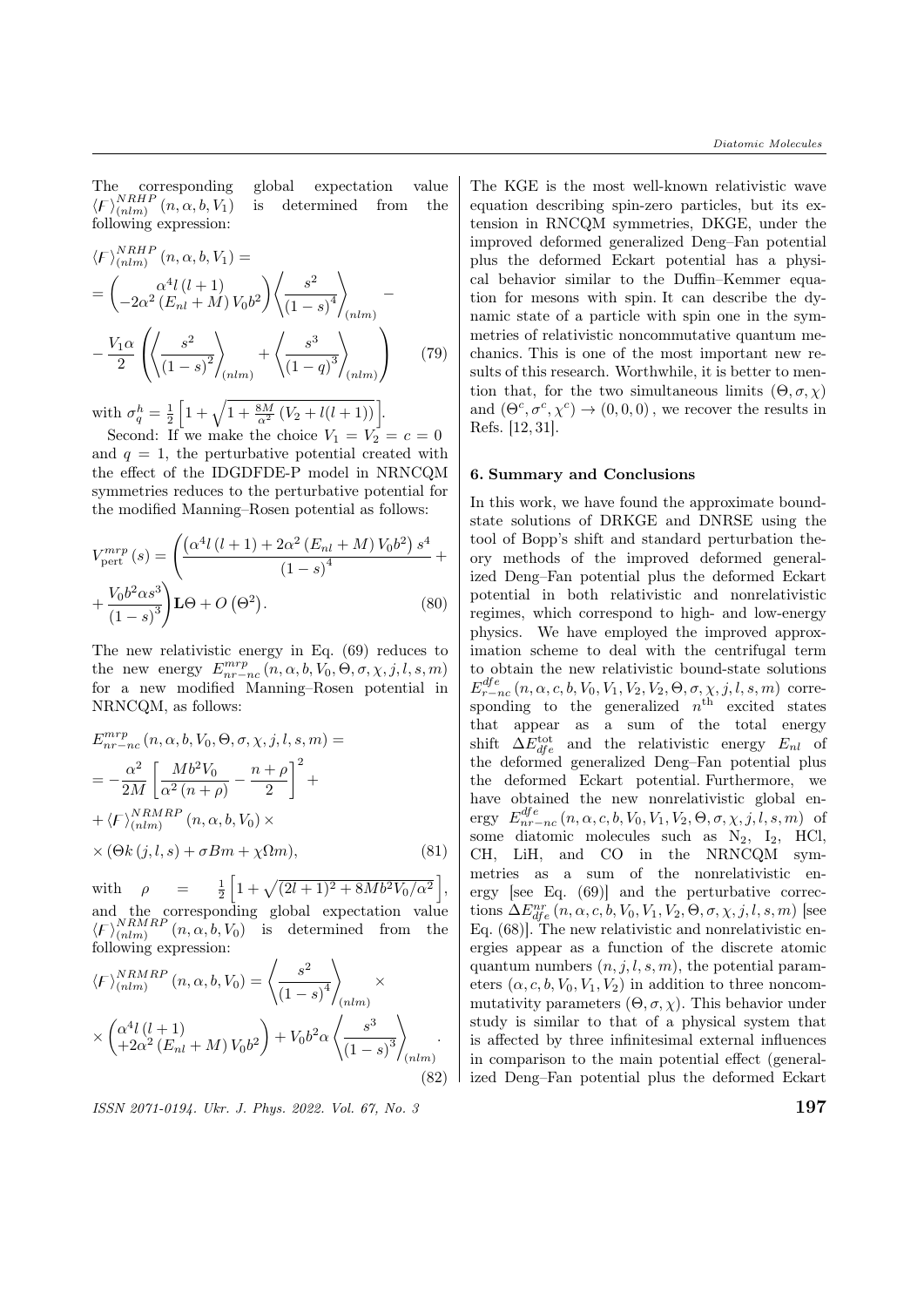The corresponding global expectation value  $\langle F \rangle_{(nlm)}^{NRHP}(n, \alpha, b, V_1)$  is determined from the following expression:

$$
\langle F \rangle_{(nlm)}^{NRHP} (n, \alpha, b, V_1) =
$$
\n
$$
= \left( -2\alpha^2 \left( E_{nl} + M \right) V_0 b^2 \right) \left\langle \frac{s^2}{\left( 1 - s \right)^4} \right\rangle_{(nlm)} -
$$
\n
$$
- \frac{V_1 \alpha}{2} \left( \left\langle \frac{s^2}{\left( 1 - s \right)^2} \right\rangle_{(nlm)} + \left\langle \frac{s^3}{\left( 1 - q \right)^3} \right\rangle_{(nlm)} \right) \tag{79}
$$

with  $\sigma_q^h = \frac{1}{2} \left[ 1 + \sqrt{1 + \frac{8M}{\alpha^2} (V_2 + l(l+1))} \right]$ .

Second: If we make the choice  $V_1 = V_2 = c = 0$ and  $q = 1$ , the perturbative potential created with the effect of the IDGDFDE-P model in NRNCQM symmetries reduces to the perturbative potential for the modified Manning–Rosen potential as follows:

$$
V_{\text{pert}}^{mrp}(s) = \left(\frac{\left(\alpha^4 l \left(l+1\right) + 2\alpha^2 \left(E_{nl} + M\right) V_0 b^2\right) s^4}{\left(1 - s\right)^4} + \frac{V_0 b^2 \alpha s^3}{\left(1 - s\right)^3}\right) \text{LO} + O\left(\Theta^2\right). \tag{80}
$$

The new relativistic energy in Eq. (69) reduces to the new energy  $E_{nr-nc}^{mrp}$   $(n, \alpha, b, V_0, \Theta, \sigma, \chi, j, l, s, m)$ for a new modified Manning–Rosen potential in NRNCQM, as follows:

$$
E_{nr-nc}^{mrp} (n, \alpha, b, V_0, \Theta, \sigma, \chi, j, l, s, m) =
$$
  
= 
$$
-\frac{\alpha^2}{2M} \left[ \frac{M b^2 V_0}{\alpha^2 (n + \rho)} - \frac{n + \rho}{2} \right]^2 +
$$
  
+ 
$$
\langle F \rangle_{(nlm)}^{NRMRP} (n, \alpha, b, V_0) \times
$$
  

$$
\times (\Theta k (j, l, s) + \sigma B m + \chi \Omega m),
$$
 (81)

with  $\rho = \frac{1}{2} \left[ 1 + \sqrt{(2l+1)^2 + 8Mb^2V_0/\alpha^2} \right],$ and the corresponding global expectation value  $\langle F \rangle_{(nlm)}^{NRMRP}$   $(n, \alpha, b, V_0)$  is determined from the following expression:

$$
\langle F \rangle_{(nlm)}^{NRMRP} (n, \alpha, b, V_0) = \left\langle \frac{s^2}{(1-s)^4} \right\rangle_{(nlm)} \times \left\langle \frac{\alpha^4 l (l+1)}{+2\alpha^2 (E_{nl} + M) V_0 b^2} \right\rangle + V_0 b^2 \alpha \left\langle \frac{s^3}{(1-s)^3} \right\rangle_{(nlm)}.
$$
\n(82)

ISSN 2071-0194. Ukr. J. Phys. 2022. Vol. 67, No. 3  $197$ 

The KGE is the most well-known relativistic wave equation describing spin-zero particles, but its extension in RNCQM symmetries, DKGE, under the improved deformed generalized Deng–Fan potential plus the deformed Eckart potential has a physical behavior similar to the Duffin–Kemmer equation for mesons with spin. It can describe the dynamic state of a particle with spin one in the symmetries of relativistic noncommutative quantum mechanics. This is one of the most important new results of this research. Worthwhile, it is better to mention that, for the two simultaneous limits  $(\Theta, \sigma, \chi)$ and  $(\Theta^c, \sigma^c, \chi^c) \to (0, 0, 0)$ , we recover the results in Refs. [12, 31].

#### 6. Summary and Conclusions

In this work, we have found the approximate boundstate solutions of DRKGE and DNRSE using the tool of Bopp's shift and standard perturbation theory methods of the improved deformed generalized Deng–Fan potential plus the deformed Eckart potential in both relativistic and nonrelativistic regimes, which correspond to high- and low-energy physics. We have employed the improved approximation scheme to deal with the centrifugal term to obtain the new relativistic bound-state solutions  $E_{r-nc}^{dfe}(n, \alpha, c, b, V_0, V_1, V_2, V_2, \Theta, \sigma, \chi, j, l, s, m)$  corresponding to the generalized  $n<sup>th</sup>$  excited states that appear as a sum of the total energy shift  $\Delta E_{dfe}^{\text{tot}}$  and the relativistic energy  $E_{nl}$  of the deformed generalized Deng–Fan potential plus the deformed Eckart potential. Furthermore, we have obtained the new nonrelativistic global energy  $E_{nr-nc}^{dfe}(n, \alpha, c, b, V_0, V_1, V_2, \Theta, \sigma, \chi, j, l, s, m)$  of some diatomic molecules such as N2, I2, HCl, CH, LiH, and CO in the NRNCQM symmetries as a sum of the nonrelativistic energy [see Eq. (69)] and the perturbative corrections  $\Delta E_{dfe}^{nr}$   $(n, \alpha, c, b, V_0, V_1, V_2, \Theta, \sigma, \chi, j, l, s, m)$  [see Eq. (68)]. The new relativistic and nonrelativistic energies appear as a function of the discrete atomic quantum numbers  $(n, j, l, s, m)$ , the potential parameters  $(\alpha, c, b, V_0, V_1, V_2)$  in addition to three noncommutativity parameters  $(\Theta, \sigma, \chi)$ . This behavior under study is similar to that of a physical system that is affected by three infinitesimal external influences in comparison to the main potential effect (generalized Deng–Fan potential plus the deformed Eckart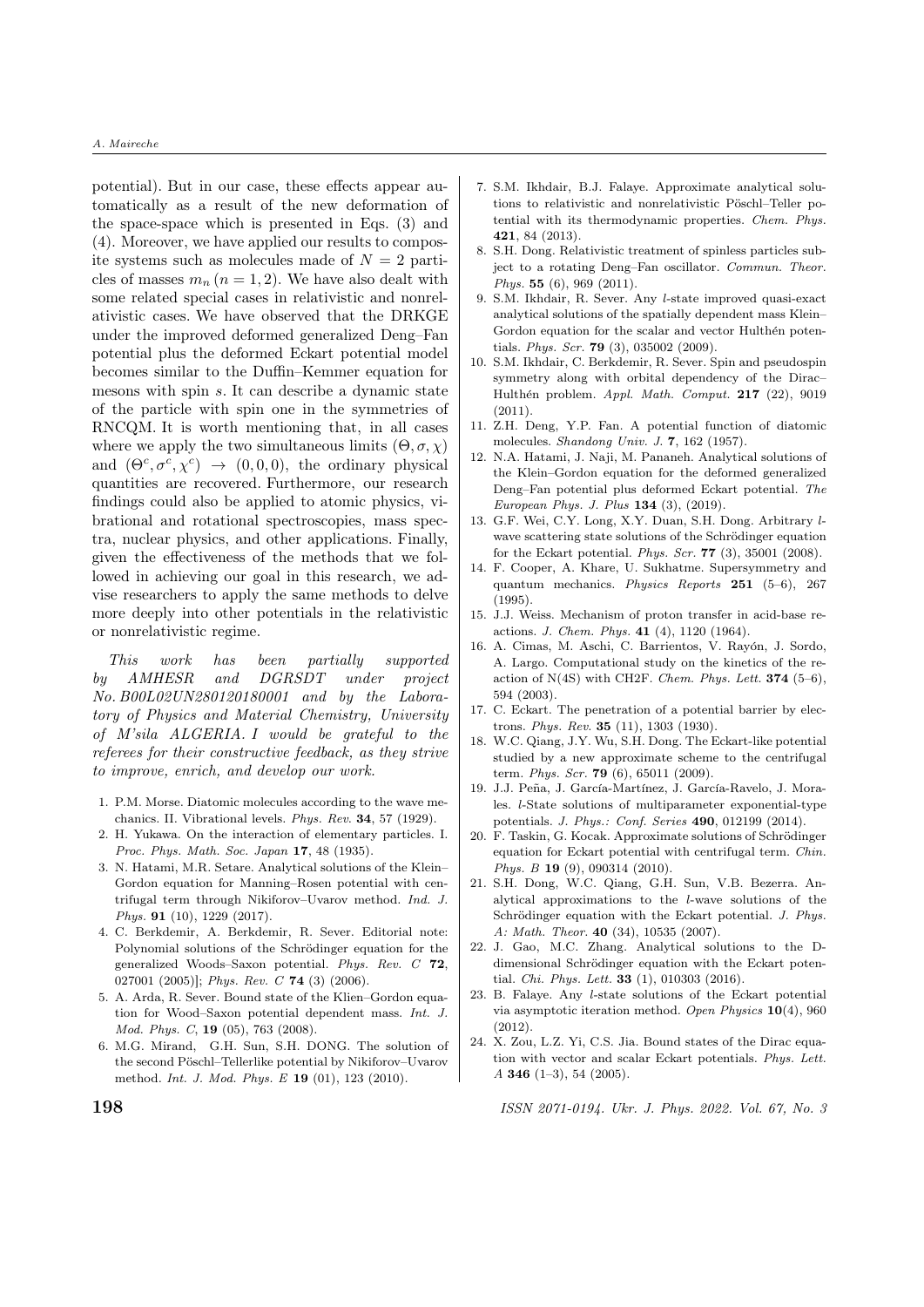potential). But in our case, these effects appear automatically as a result of the new deformation of the space-space which is presented in Eqs. (3) and (4). Moreover, we have applied our results to composite systems such as molecules made of  $N = 2$  particles of masses  $m_n$  ( $n = 1, 2$ ). We have also dealt with some related special cases in relativistic and nonrelativistic cases. We have observed that the DRKGE under the improved deformed generalized Deng–Fan potential plus the deformed Eckart potential model becomes similar to the Duffin–Kemmer equation for mesons with spin  $s$ . It can describe a dynamic state of the particle with spin one in the symmetries of RNCQM. It is worth mentioning that, in all cases where we apply the two simultaneous limits  $(\Theta, \sigma, \chi)$ and  $(\Theta^c, \sigma^c, \chi^c) \rightarrow (0, 0, 0)$ , the ordinary physical quantities are recovered. Furthermore, our research findings could also be applied to atomic physics, vibrational and rotational spectroscopies, mass spectra, nuclear physics, and other applications. Finally, given the effectiveness of the methods that we followed in achieving our goal in this research, we advise researchers to apply the same methods to delve more deeply into other potentials in the relativistic or nonrelativistic regime.

This work has been partially supported by AMHESR and DGRSDT under project No. B00L02UN280120180001 and by the Laboratory of Physics and Material Chemistry, University of M'sila ALGERIA. I would be grateful to the referees for their constructive feedback, as they strive to improve, enrich, and develop our work.

- 1. P.M. Morse. Diatomic molecules according to the wave mechanics. II. Vibrational levels. Phys. Rev. 34, 57 (1929).
- 2. H. Yukawa. On the interaction of elementary particles. I. Proc. Phys. Math. Soc. Japan 17, 48 (1935).
- 3. N. Hatami, M.R. Setare. Analytical solutions of the Klein– Gordon equation for Manning–Rosen potential with centrifugal term through Nikiforov–Uvarov method. Ind. J. Phys. 91 (10), 1229 (2017).
- 4. C. Berkdemir, A. Berkdemir, R. Sever. Editorial note: Polynomial solutions of the Schrödinger equation for the generalized Woods–Saxon potential. Phys. Rev. C 72, 027001 (2005)]; Phys. Rev. C 74 (3) (2006).
- 5. A. Arda, R. Sever. Bound state of the Klien–Gordon equation for Wood–Saxon potential dependent mass. Int. J. Mod. Phys. C, 19 (05), 763 (2008).
- 6. M.G. Mirand, G.H. Sun, S.H. DONG. The solution of the second Pöschl–Tellerlike potential by Nikiforov–Uvarov method. Int. J. Mod. Phys. E 19 (01), 123 (2010).
- 7. S.M. Ikhdair, B.J. Falaye. Approximate analytical solutions to relativistic and nonrelativistic Pöschl–Teller potential with its thermodynamic properties. Chem. Phys. 421, 84 (2013).
- 8. S.H. Dong. Relativistic treatment of spinless particles subject to a rotating Deng–Fan oscillator. Commun. Theor. Phys. 55 (6), 969 (2011).
- 9. S.M. Ikhdair, R. Sever. Any l-state improved quasi-exact analytical solutions of the spatially dependent mass Klein– Gordon equation for the scalar and vector Hulthén potentials. Phys. Scr. 79 (3), 035002 (2009).
- 10. S.M. Ikhdair, C. Berkdemir, R. Sever. Spin and pseudospin symmetry along with orbital dependency of the Dirac– Hulthén problem. Appl. Math. Comput. 217 (22), 9019 (2011).
- 11. Z.H. Deng, Y.P. Fan. A potential function of diatomic molecules. Shandong Univ. J. 7, 162 (1957).
- 12. N.A. Hatami, J. Naji, M. Pananeh. Analytical solutions of the Klein–Gordon equation for the deformed generalized Deng–Fan potential plus deformed Eckart potential. The European Phys. J. Plus 134 (3), (2019).
- 13. G.F. Wei, C.Y. Long, X.Y. Duan, S.H. Dong. Arbitrary lwave scattering state solutions of the Schrödinger equation for the Eckart potential. Phys. Scr. 77 (3), 35001 (2008).
- 14. F. Cooper, A. Khare, U. Sukhatme. Supersymmetry and quantum mechanics. Physics Reports 251 (5–6), 267 (1995).
- 15. J.J. Weiss. Mechanism of proton transfer in acid-base reactions. J. Chem. Phys. 41 (4), 1120 (1964).
- 16. A. Cimas, M. Aschi, C. Barrientos, V. Rayón, J. Sordo, A. Largo. Computational study on the kinetics of the reaction of N(4S) with CH2F. Chem. Phys. Lett.  $374$  (5–6), 594 (2003).
- 17. C. Eckart. The penetration of a potential barrier by electrons. Phys. Rev. 35 (11), 1303 (1930).
- 18. W.C. Qiang, J.Y. Wu, S.H. Dong. The Eckart-like potential studied by a new approximate scheme to the centrifugal term. Phys. Scr. 79 (6), 65011 (2009).
- 19. J.J. Peña, J. García-Martínez, J. García-Ravelo, J. Morales. l-State solutions of multiparameter exponential-type potentials. J. Phys.: Conf. Series 490, 012199 (2014).
- 20. F. Taskin, G. Kocak. Approximate solutions of Schrödinger equation for Eckart potential with centrifugal term. Chin. Phys. B 19 (9), 090314 (2010).
- 21. S.H. Dong, W.C. Qiang, G.H. Sun, V.B. Bezerra. Analytical approximations to the  $l$ -wave solutions of the Schrödinger equation with the Eckart potential. J. Phys. A: Math. Theor. 40 (34), 10535 (2007).
- 22. J. Gao, M.C. Zhang. Analytical solutions to the Ddimensional Schrödinger equation with the Eckart potential. Chi. Phys. Lett. 33 (1), 010303 (2016).
- 23. B. Falaye. Any l-state solutions of the Eckart potential via asymptotic iteration method. Open Physics 10(4), 960 (2012).
- 24. X. Zou, L.Z. Yi, C.S. Jia. Bound states of the Dirac equation with vector and scalar Eckart potentials. Phys. Lett. A 346 (1–3), 54 (2005).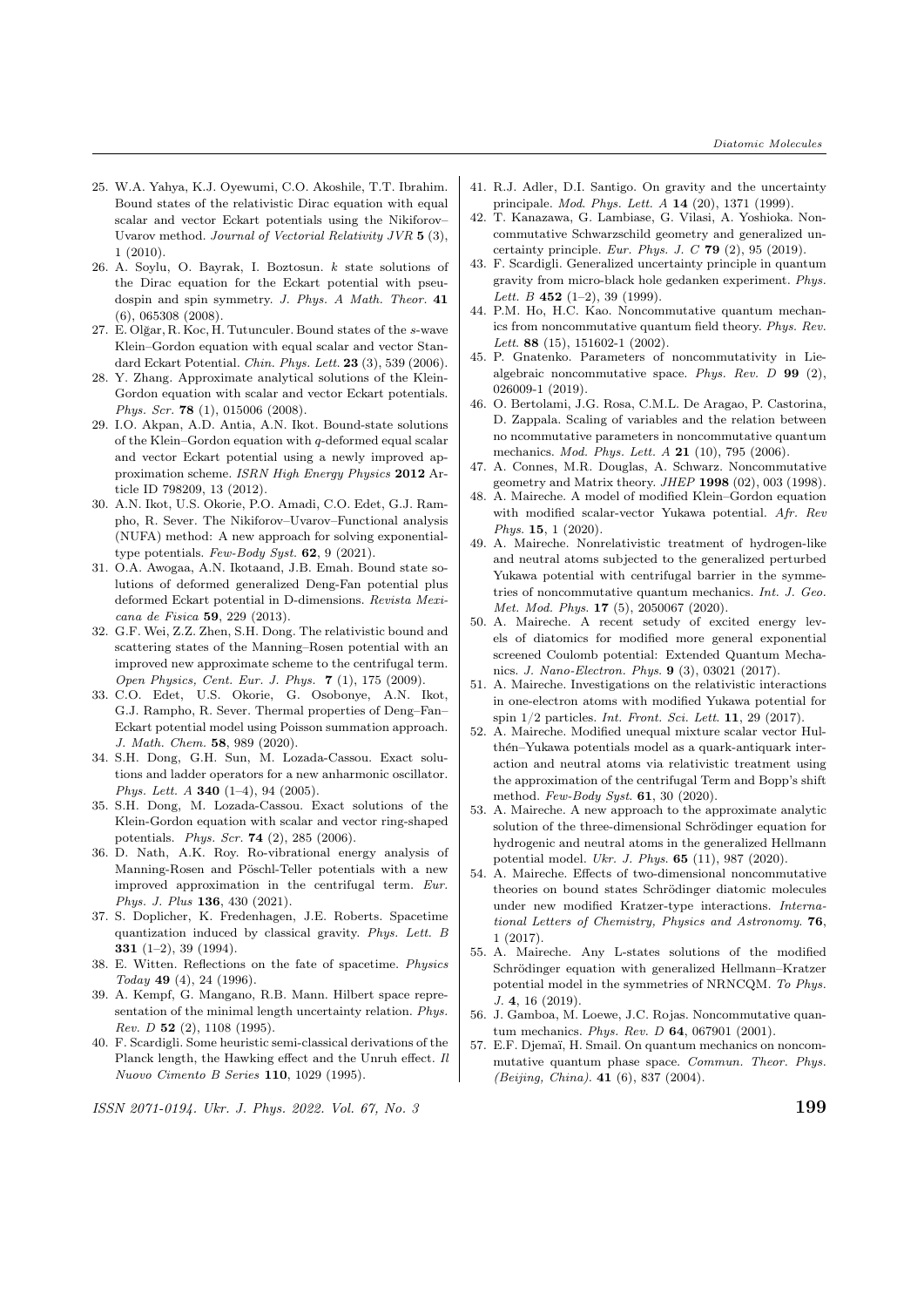- 25. W.A. Yahya, K.J. Oyewumi, C.O. Akoshile, T.T. Ibrahim. Bound states of the relativistic Dirac equation with equal scalar and vector Eckart potentials using the Nikiforov– Uvarov method. Journal of Vectorial Relativity JVR 5 (3), 1 (2010).
- 26. A. Soylu, O. Bayrak, I. Boztosun. k state solutions of the Dirac equation for the Eckart potential with pseudospin and spin symmetry. J. Phys. A Math. Theor. 41 (6), 065308 (2008).
- 27. E. Olğar, R. Koc, H. Tutunculer. Bound states of the s-wave Klein–Gordon equation with equal scalar and vector Standard Eckart Potential. Chin. Phys. Lett. 23 (3), 539 (2006).
- 28. Y. Zhang. Approximate analytical solutions of the Klein-Gordon equation with scalar and vector Eckart potentials. Phys. Scr. 78 (1), 015006 (2008).
- 29. I.O. Akpan, A.D. Antia, A.N. Ikot. Bound-state solutions of the Klein–Gordon equation with  $q$ -deformed equal scalar and vector Eckart potential using a newly improved approximation scheme. ISRN High Energy Physics 2012 Article ID 798209, 13 (2012).
- 30. A.N. Ikot, U.S. Okorie, P.O. Amadi, C.O. Edet, G.J. Rampho, R. Sever. The Nikiforov–Uvarov–Functional analysis (NUFA) method: A new approach for solving exponentialtype potentials. Few-Body Syst. 62, 9 (2021).
- 31. O.A. Awogaa, A.N. Ikotaand, J.B. Emah. Bound state solutions of deformed generalized Deng-Fan potential plus deformed Eckart potential in D-dimensions. Revista Mexicana de Fisica 59, 229 (2013).
- 32. G.F. Wei, Z.Z. Zhen, S.H. Dong. The relativistic bound and scattering states of the Manning–Rosen potential with an improved new approximate scheme to the centrifugal term. Open Physics, Cent. Eur. J. Phys. 7 (1), 175 (2009).
- 33. C.O. Edet, U.S. Okorie, G. Osobonye, A.N. Ikot, G.J. Rampho, R. Sever. Thermal properties of Deng–Fan– Eckart potential model using Poisson summation approach. J. Math. Chem. 58, 989 (2020).
- 34. S.H. Dong, G.H. Sun, M. Lozada-Cassou. Exact solutions and ladder operators for a new anharmonic oscillator. Phys. Lett.  $A$  340 (1-4), 94 (2005).
- 35. S.H. Dong, M. Lozada-Cassou. Exact solutions of the Klein-Gordon equation with scalar and vector ring-shaped potentials. Phys. Scr. 74 (2), 285 (2006).
- 36. D. Nath, A.K. Roy. Ro-vibrational energy analysis of Manning-Rosen and Pöschl-Teller potentials with a new improved approximation in the centrifugal term. Eur. Phys. J. Plus 136, 430 (2021).
- 37. S. Doplicher, K. Fredenhagen, J.E. Roberts. Spacetime quantization induced by classical gravity. Phys. Lett. B 331 (1–2), 39 (1994).
- 38. E. Witten. Reflections on the fate of spacetime. Physics Today 49 (4), 24 (1996).
- 39. A. Kempf, G. Mangano, R.B. Mann. Hilbert space representation of the minimal length uncertainty relation. Phys. Rev. D 52  $(2)$ , 1108  $(1995)$ .
- 40. F. Scardigli. Some heuristic semi-classical derivations of the Planck length, the Hawking effect and the Unruh effect. Il Nuovo Cimento B Series 110, 1029 (1995).

- 41. R.J. Adler, D.I. Santigo. On gravity and the uncertainty principale. Mod. Phys. Lett. A 14 (20), 1371 (1999).
- 42. T. Kanazawa, G. Lambiase, G. Vilasi, A. Yoshioka. Noncommutative Schwarzschild geometry and generalized uncertainty principle. Eur. Phys. J. C  $79$  (2), 95 (2019).
- 43. F. Scardigli. Generalized uncertainty principle in quantum gravity from micro-black hole gedanken experiment. Phys. Lett. B  $452$  (1-2), 39 (1999).
- 44. P.M. Ho, H.C. Kao. Noncommutative quantum mechanics from noncommutative quantum field theory. Phys. Rev. Lett. 88 (15), 151602-1 (2002).
- 45. P. Gnatenko. Parameters of noncommutativity in Liealgebraic noncommutative space. Phys. Rev. D 99 (2), 026009-1 (2019).
- 46. O. Bertolami, J.G. Rosa, C.M.L. De Aragao, P. Castorina, D. Zappala. Scaling of variables and the relation between no ncommutative parameters in noncommutative quantum mechanics. Mod. Phys. Lett. A 21 (10), 795 (2006).
- 47. A. Connes, M.R. Douglas, A. Schwarz. Noncommutative geometry and Matrix theory. JHEP 1998 (02), 003 (1998).
- 48. A. Maireche. A model of modified Klein–Gordon equation with modified scalar-vector Yukawa potential. Afr. Rev Phys. **15**, 1 (2020).
- 49. A. Maireche. Nonrelativistic treatment of hydrogen-like and neutral atoms subjected to the generalized perturbed Yukawa potential with centrifugal barrier in the symmetries of noncommutative quantum mechanics. Int. J. Geo. Met. Mod. Phys. 17 (5), 2050067 (2020).
- 50. A. Maireche. A recent setudy of excited energy levels of diatomics for modified more general exponential screened Coulomb potential: Extended Quantum Mechanics. J. Nano-Electron. Phys. 9 (3), 03021 (2017).
- 51. A. Maireche. Investigations on the relativistic interactions in one-electron atoms with modified Yukawa potential for spin 1/2 particles. Int. Front. Sci. Lett. 11, 29 (2017).
- 52. A. Maireche. Modified unequal mixture scalar vector Hulthén–Yukawa potentials model as a quark-antiquark interaction and neutral atoms via relativistic treatment using the approximation of the centrifugal Term and Bopp's shift method. Few-Body Syst. 61, 30 (2020).
- 53. A. Maireche. A new approach to the approximate analytic solution of the three-dimensional Schrödinger equation for hydrogenic and neutral atoms in the generalized Hellmann potential model. Ukr. J. Phys. 65 (11), 987 (2020).
- 54. A. Maireche. Effects of two-dimensional noncommutative theories on bound states Schrödinger diatomic molecules under new modified Kratzer-type interactions. International Letters of Chemistry, Physics and Astronomy. 76, 1 (2017).
- 55. A. Maireche. Any L-states solutions of the modified Schrödinger equation with generalized Hellmann–Kratzer potential model in the symmetries of NRNCQM. To Phys. J. 4, 16 (2019).
- 56. J. Gamboa, M. Loewe, J.C. Rojas. Noncommutative quantum mechanics. Phys. Rev. D 64, 067901 (2001).
- 57. E.F. Djemaï, H. Smail. On quantum mechanics on noncommutative quantum phase space. Commun. Theor. Phys. (Beijing, China). 41 (6), 837 (2004).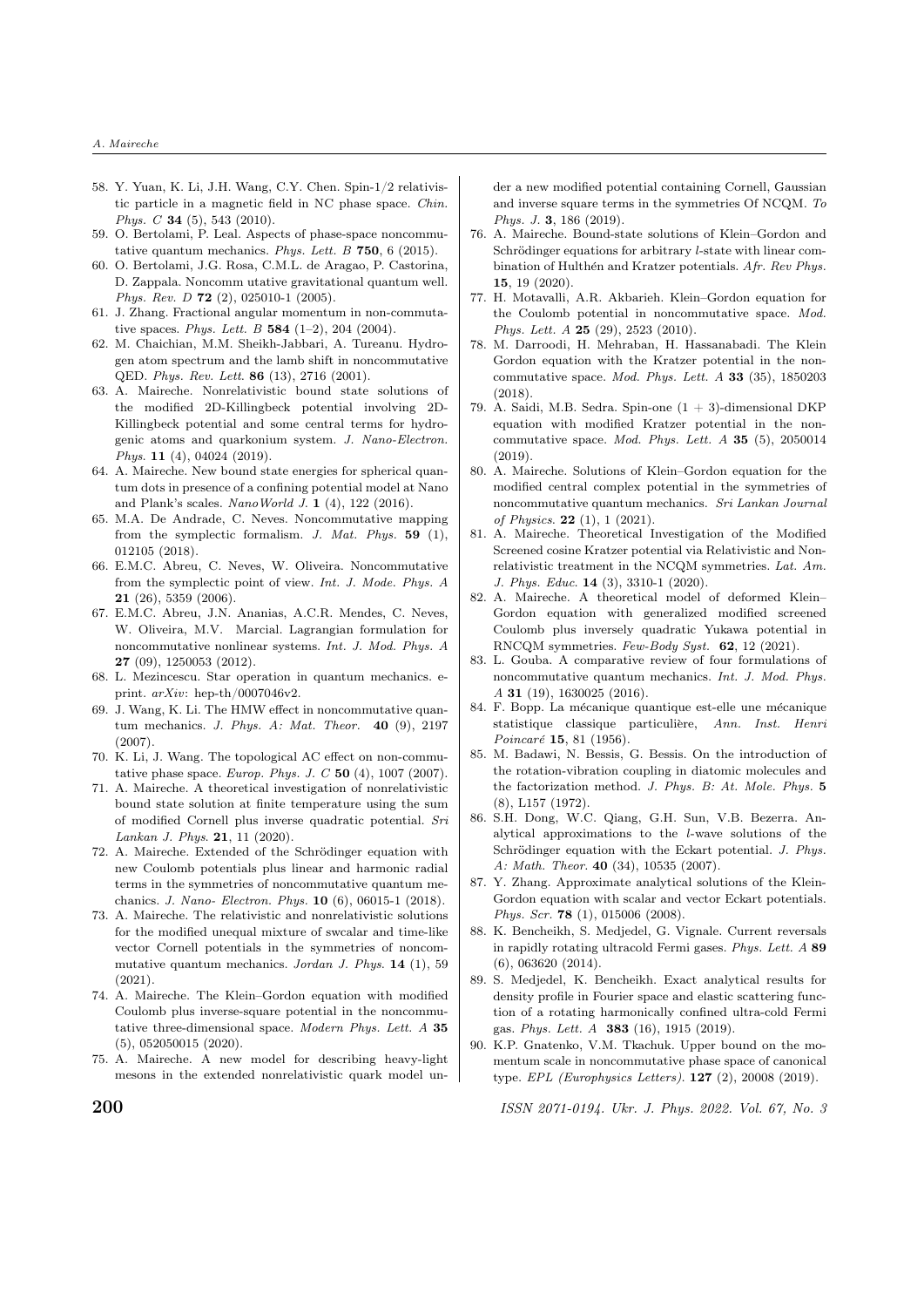- 58. Y. Yuan, K. Li, J.H. Wang, C.Y. Chen. Spin-1/2 relativistic particle in a magnetic field in NC phase space. Chin. Phys. C 34 (5), 543 (2010).
- 59. O. Bertolami, P. Leal. Aspects of phase-space noncommutative quantum mechanics. Phys. Lett. B 750, 6 (2015).
- 60. O. Bertolami, J.G. Rosa, C.M.L. de Aragao, P. Castorina, D. Zappala. Noncomm utative gravitational quantum well. Phys. Rev. D 72 (2), 025010-1 (2005).
- 61. J. Zhang. Fractional angular momentum in non-commutative spaces. Phys. Lett. B  $584$  (1-2), 204 (2004).
- 62. M. Chaichian, M.M. Sheikh-Jabbari, A. Tureanu. Hydrogen atom spectrum and the lamb shift in noncommutative QED. Phys. Rev. Lett. 86 (13), 2716 (2001).
- 63. A. Maireche. Nonrelativistic bound state solutions of the modified 2D-Killingbeck potential involving 2D-Killingbeck potential and some central terms for hydrogenic atoms and quarkonium system. J. Nano-Electron. Phys. 11 (4), 04024 (2019).
- 64. A. Maireche. New bound state energies for spherical quantum dots in presence of a confining potential model at Nano and Plank's scales. NanoWorld J. 1 (4), 122 (2016).
- 65. M.A. De Andrade, C. Neves. Noncommutative mapping from the symplectic formalism. J. Mat. Phys. 59 (1), 012105 (2018).
- 66. E.M.C. Abreu, C. Neves, W. Oliveira. Noncommutative from the symplectic point of view. Int. J. Mode. Phys. A 21 (26), 5359 (2006).
- 67. E.M.C. Abreu, J.N. Ananias, A.C.R. Mendes, C. Neves, W. Oliveira, M.V. Marcial. Lagrangian formulation for noncommutative nonlinear systems. Int. J. Mod. Phys. A 27 (09), 1250053 (2012).
- 68. L. Mezincescu. Star operation in quantum mechanics. eprint.  $arXiv$ : hep-th/0007046v2.
- 69. J. Wang, K. Li. The HMW effect in noncommutative quantum mechanics. J. Phys. A: Mat. Theor.  $40$  (9), 2197 (2007).
- 70. K. Li, J. Wang. The topological AC effect on non-commutative phase space. Europ. Phys. J. C  $50$  (4), 1007 (2007).
- 71. A. Maireche. A theoretical investigation of nonrelativistic bound state solution at finite temperature using the sum of modified Cornell plus inverse quadratic potential. Sri Lankan J. Phys. 21, 11 (2020).
- 72. A. Maireche. Extended of the Schrödinger equation with new Coulomb potentials plus linear and harmonic radial terms in the symmetries of noncommutative quantum mechanics. J. Nano- Electron. Phys. 10 (6), 06015-1 (2018).
- 73. A. Maireche. The relativistic and nonrelativistic solutions for the modified unequal mixture of swcalar and time-like vector Cornell potentials in the symmetries of noncommutative quantum mechanics. Jordan J. Phys. 14 (1), 59  $(2021)$
- 74. A. Maireche. The Klein–Gordon equation with modified Coulomb plus inverse-square potential in the noncommutative three-dimensional space. Modern Phys. Lett. A 35 (5), 052050015 (2020).
- 75. A. Maireche. A new model for describing heavy-light mesons in the extended nonrelativistic quark model un-

der a new modified potential containing Cornell, Gaussian and inverse square terms in the symmetries Of NCQM. To Phys. J. 3, 186 (2019).

- 76. A. Maireche. Bound-state solutions of Klein–Gordon and Schrödinger equations for arbitrary *l*-state with linear combination of Hulthén and Kratzer potentials. Afr. Rev Phys. 15, 19 (2020).
- 77. H. Motavalli, A.R. Akbarieh. Klein–Gordon equation for the Coulomb potential in noncommutative space. Mod. Phys. Lett. A 25 (29), 2523 (2010).
- 78. M. Darroodi, H. Mehraban, H. Hassanabadi. The Klein Gordon equation with the Kratzer potential in the noncommutative space. Mod. Phys. Lett. A 33 (35), 1850203 (2018).
- 79. A. Saidi, M.B. Sedra. Spin-one  $(1 + 3)$ -dimensional DKP equation with modified Kratzer potential in the noncommutative space. Mod. Phys. Lett. A 35 (5), 2050014 (2019).
- 80. A. Maireche. Solutions of Klein–Gordon equation for the modified central complex potential in the symmetries of noncommutative quantum mechanics. Sri Lankan Journal of Physics. 22 (1), 1 (2021).
- 81. A. Maireche. Theoretical Investigation of the Modified Screened cosine Kratzer potential via Relativistic and Nonrelativistic treatment in the NCQM symmetries. Lat. Am. J. Phys. Educ. 14 (3), 3310-1 (2020).
- 82. A. Maireche. A theoretical model of deformed Klein– Gordon equation with generalized modified screened Coulomb plus inversely quadratic Yukawa potential in RNCQM symmetries. Few-Body Syst. 62, 12 (2021).
- 83. L. Gouba. A comparative review of four formulations of noncommutative quantum mechanics. Int. J. Mod. Phys. A 31 (19), 1630025 (2016).
- 84. F. Bopp. La mécanique quantique est-elle une mécanique statistique classique particulière, Ann. Inst. Henri Poincaré 15, 81 (1956).
- 85. M. Badawi, N. Bessis, G. Bessis. On the introduction of the rotation-vibration coupling in diatomic molecules and the factorization method. J. Phys. B: At. Mole. Phys. 5 (8), L157 (1972).
- 86. S.H. Dong, W.C. Qiang, G.H. Sun, V.B. Bezerra. Analytical approximations to the l-wave solutions of the Schrödinger equation with the Eckart potential. J. Phys. A: Math. Theor. 40 (34), 10535 (2007).
- 87. Y. Zhang. Approximate analytical solutions of the Klein-Gordon equation with scalar and vector Eckart potentials. Phys. Scr. 78 (1), 015006 (2008).
- 88. K. Bencheikh, S. Medjedel, G. Vignale. Current reversals in rapidly rotating ultracold Fermi gases. Phys. Lett. A 89 (6), 063620 (2014).
- 89. S. Medjedel, K. Bencheikh. Exact analytical results for density profile in Fourier space and elastic scattering function of a rotating harmonically confined ultra-cold Fermi gas. Phys. Lett. A 383 (16), 1915 (2019).
- 90. K.P. Gnatenko, V.M. Tkachuk. Upper bound on the momentum scale in noncommutative phase space of canonical type. EPL (Europhysics Letters). 127 (2), 20008 (2019).